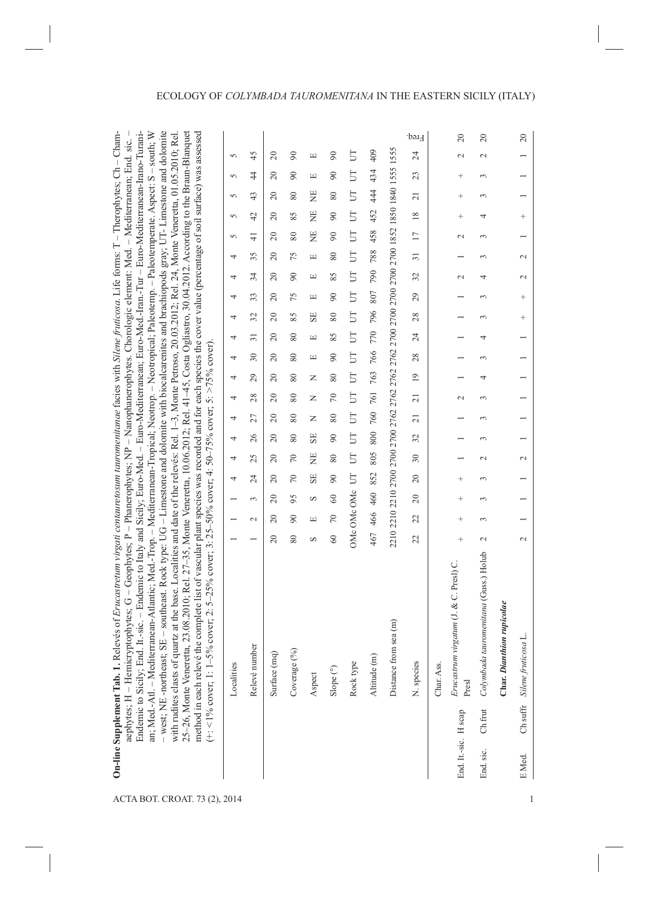| SE - southeast. Rock type: UG - Limestone and dolomite with biocalcarenites and brachiopods gray; UT-Limestone and dolomite<br>25-26, Monte Veneretta, 23.08.2010; Rel. 27-35, Monte Veneretta, 10.06.2012; Rel. 41-45, Costa Ogliastro, 30.04.2012. According to the Braun-Blanquet<br>method in each relevé the complete list of vascular plant species was recorded and for each species the cover value (percentage of soil surface) was assessed<br>with rudites clasts of quartz at the base. Localities and date of the relevés: Rel. 1-3, Monte Petroso, 20.03.2012; Rel. 24, Monte Veneretta, 01.05.2010; Rel | 5          | 45              | $\approx$      | $\infty$    | Щ                                | $\infty$             | 5         | 409          |                       | Freq.<br>24     |            | $\overline{c}$<br>$\mathbf{\sim}$                                       | $\overline{c}$<br>$\mathbf{C}$                               |                               | $20$                                        |  |
|------------------------------------------------------------------------------------------------------------------------------------------------------------------------------------------------------------------------------------------------------------------------------------------------------------------------------------------------------------------------------------------------------------------------------------------------------------------------------------------------------------------------------------------------------------------------------------------------------------------------|------------|-----------------|----------------|-------------|----------------------------------|----------------------|-----------|--------------|-----------------------|-----------------|------------|-------------------------------------------------------------------------|--------------------------------------------------------------|-------------------------------|---------------------------------------------|--|
|                                                                                                                                                                                                                                                                                                                                                                                                                                                                                                                                                                                                                        | 5          | 4               | $\approx$      | $\infty$    | Щ                                | $\infty$             | E         | 434          |                       | 23              |            | $^{+}$                                                                  | 3                                                            |                               |                                             |  |
|                                                                                                                                                                                                                                                                                                                                                                                                                                                                                                                                                                                                                        |            |                 |                |             |                                  |                      |           |              |                       |                 |            |                                                                         |                                                              |                               |                                             |  |
|                                                                                                                                                                                                                                                                                                                                                                                                                                                                                                                                                                                                                        | $\sqrt{2}$ | 43              | $\approx$      | $\rm 80$    | 岂                                | $\pmb{80}$           | <b>FU</b> | 44           |                       | $\overline{21}$ |            | $^+$                                                                    | $\sim$                                                       |                               |                                             |  |
|                                                                                                                                                                                                                                                                                                                                                                                                                                                                                                                                                                                                                        | $\sqrt{2}$ | 42              | $\approx$      | 85          | Ë                                | $\infty$             | <b>FU</b> | 452          |                       | $\frac{8}{18}$  |            | $^{+}$                                                                  | 4                                                            |                               | $^{+}$                                      |  |
|                                                                                                                                                                                                                                                                                                                                                                                                                                                                                                                                                                                                                        | 5          | $\frac{4}{1}$   | $\Omega$       | $\pmb{80}$  | Ë                                | $\infty$             | <b>FU</b> | 458          |                       | $\overline{17}$ |            | $\mathbf{\sim}$                                                         | $\infty$                                                     |                               |                                             |  |
|                                                                                                                                                                                                                                                                                                                                                                                                                                                                                                                                                                                                                        | 4          | 35              | $\Omega$       | 75          | $\boxed{\underline{\mathbf{L}}}$ | $\pmb{80}$           | <b>FU</b> | 788          |                       | $\overline{31}$ |            |                                                                         | 3                                                            |                               | $\sim$                                      |  |
|                                                                                                                                                                                                                                                                                                                                                                                                                                                                                                                                                                                                                        | 4          | 34              | $\overline{c}$ | $\infty$    | Щ                                | 85                   | 5         | 790          |                       | 32              |            | $\mathbf{C}$                                                            | 4                                                            |                               | $\sim$                                      |  |
|                                                                                                                                                                                                                                                                                                                                                                                                                                                                                                                                                                                                                        | 4          | 33              | 20             | 75          | $\Xi$                            | $\infty$             | 5         | 807          |                       | 29              |            |                                                                         | $\infty$                                                     |                               | $^{+}$                                      |  |
|                                                                                                                                                                                                                                                                                                                                                                                                                                                                                                                                                                                                                        | 4          | 32              | 20             | 85          | SE                               | 80                   | <b>F</b>  | 796          |                       | 28              |            |                                                                         | 3                                                            |                               | $^{+}$                                      |  |
|                                                                                                                                                                                                                                                                                                                                                                                                                                                                                                                                                                                                                        | 4          | $\overline{31}$ | 20             | $\rm 80$    | $\Xi$                            | 85                   | 5         | 770          |                       | 24              |            |                                                                         | 4                                                            |                               |                                             |  |
|                                                                                                                                                                                                                                                                                                                                                                                                                                                                                                                                                                                                                        | 4          | $30\,$          | 20             | $\rm 80$    | $\Xi$                            | $\infty$             | 5         | 766          |                       | 28              |            |                                                                         | 3                                                            |                               |                                             |  |
|                                                                                                                                                                                                                                                                                                                                                                                                                                                                                                                                                                                                                        | 4          | 29              | 20             | $\rm 80$    | z                                | $\pmb{80}$           | <b>F</b>  | 763          |                       | $\overline{19}$ |            |                                                                         | 4                                                            |                               |                                             |  |
|                                                                                                                                                                                                                                                                                                                                                                                                                                                                                                                                                                                                                        | 4          | 28              | 20             | $\rm 80$    | z                                | $\approx$            | 5         | 761          |                       | $\overline{21}$ |            | $\sim$                                                                  | 3                                                            |                               |                                             |  |
|                                                                                                                                                                                                                                                                                                                                                                                                                                                                                                                                                                                                                        | 4          | 27              | 20             | $\rm 80$    | z                                | $80\,$               | 5         | 760          |                       | $\overline{21}$ |            |                                                                         | 3                                                            |                               |                                             |  |
|                                                                                                                                                                                                                                                                                                                                                                                                                                                                                                                                                                                                                        | 4          | 26              | $\overline{c}$ | $\rm 80$    | SE                               | $\infty$             | 5         | 800          |                       | 32              |            |                                                                         | 3                                                            |                               |                                             |  |
|                                                                                                                                                                                                                                                                                                                                                                                                                                                                                                                                                                                                                        | 4          | 25              | 20             | $\sqrt{2}$  | Ë                                | 80                   | 5         | 805          |                       | $30\,$          |            |                                                                         | $\sim$                                                       |                               | $\sim$                                      |  |
|                                                                                                                                                                                                                                                                                                                                                                                                                                                                                                                                                                                                                        | 4          | $\overline{24}$ | 20             | $\sqrt{2}$  | SE                               | $\infty$             | 5         | 852          |                       | $\overline{c}$  |            | $^{+}$                                                                  | 3                                                            |                               |                                             |  |
|                                                                                                                                                                                                                                                                                                                                                                                                                                                                                                                                                                                                                        |            | 3               | 20             | 95          | S                                | $\degree$            |           | 460          |                       | $\overline{c}$  |            | $^{+}$                                                                  | $\infty$                                                     |                               |                                             |  |
|                                                                                                                                                                                                                                                                                                                                                                                                                                                                                                                                                                                                                        |            | $\mathcal{L}$   | $\approx$      | $\infty$    | Щ                                | $\approx$            | OMcOMcOMc | 466          |                       | 22              |            | $^{+}$                                                                  | 3                                                            |                               |                                             |  |
|                                                                                                                                                                                                                                                                                                                                                                                                                                                                                                                                                                                                                        |            |                 | $\Omega$       | $\rm 80$    | S                                | $\degree$            |           | 467          |                       | 22              |            | $^{+}$                                                                  | $\sim$                                                       |                               | $\sim$                                      |  |
| (+: <1% cover; 1: 1-5% cover; 2: 5-25% cover; 3: 25-50% cover; 4: 50-75% cover; 5: >75% cover).                                                                                                                                                                                                                                                                                                                                                                                                                                                                                                                        | Localities | Relevé number   | Surface (mq)   | Coverage (% | Aspect                           | Slope <sup>(°)</sup> | Rock type | Altitude (m) | Distance from sea (m) | N. species      | Char. Ass. | Erucastrum virgatum (J. & C. Presl) C.<br>Presl<br>End. It -sic. H scap | Colymbada tauromenitana (Guss.) Holub<br>Ch frut<br>End sic. | iion rupicolae<br>Char. Diant | эsa L.<br>Ch suffr Silene frutico<br>E Med. |  |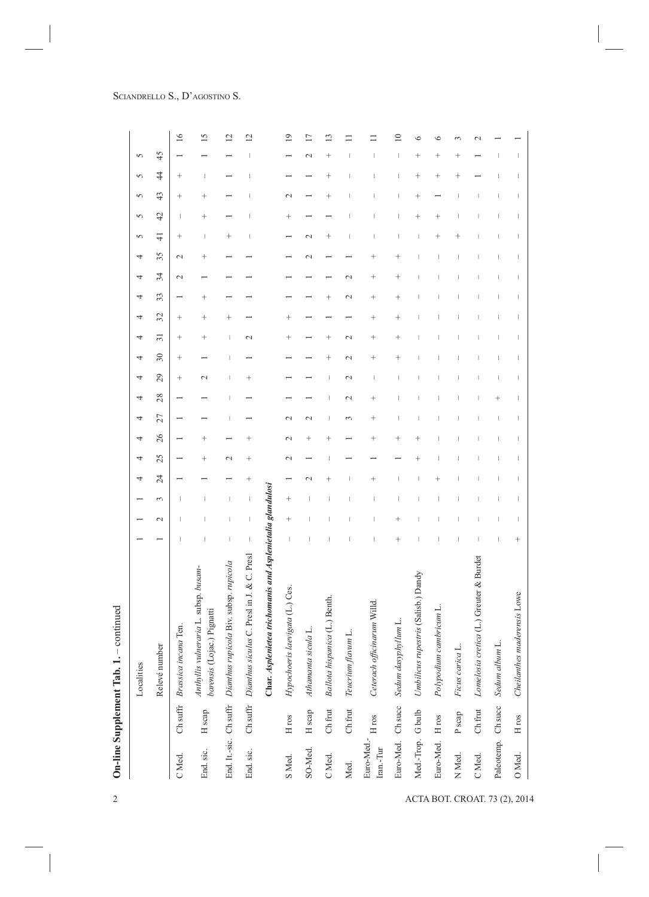| $\overline{\mathbf{c}}$       |                                        |              | $-$ continued<br>On-line Supplement Tab. 1.                         |           |                                                                                                                                                                                                                                                                                                                                                                                  |                                                                                                                                                                                                                                                                                                                                                                                  |               |                 |                                  |                                                                                                                                                                                                                                                                                                                                                                                  |                                                                                                                                                                                                                                                                                                                                                                                  |                                                                                                                                                                                                                                                                                                                                                                                  |                                                                                                                                                                                                                                                                                                                                                                                  |                                                                                                                                                                                                                                                                                                                                                                                                                                                                                                                                                                                                                                                                                                                                                                      |        |                                                                                                                                                                                                                                                                                                                                                                                  |                                                                                                                                                                                                                                                                                                                                                                                  |                                                                                                                                                                                                                                                                                                                                                                                  |                                                                                                                                                                                                                                                                                                                                                                                  |                                                                                                                                                                                                                                                                                                                                                                                  |                                                                                                                                                                                                                                                                                                                                                                                  |                    |                 |
|-------------------------------|----------------------------------------|--------------|---------------------------------------------------------------------|-----------|----------------------------------------------------------------------------------------------------------------------------------------------------------------------------------------------------------------------------------------------------------------------------------------------------------------------------------------------------------------------------------|----------------------------------------------------------------------------------------------------------------------------------------------------------------------------------------------------------------------------------------------------------------------------------------------------------------------------------------------------------------------------------|---------------|-----------------|----------------------------------|----------------------------------------------------------------------------------------------------------------------------------------------------------------------------------------------------------------------------------------------------------------------------------------------------------------------------------------------------------------------------------|----------------------------------------------------------------------------------------------------------------------------------------------------------------------------------------------------------------------------------------------------------------------------------------------------------------------------------------------------------------------------------|----------------------------------------------------------------------------------------------------------------------------------------------------------------------------------------------------------------------------------------------------------------------------------------------------------------------------------------------------------------------------------|----------------------------------------------------------------------------------------------------------------------------------------------------------------------------------------------------------------------------------------------------------------------------------------------------------------------------------------------------------------------------------|----------------------------------------------------------------------------------------------------------------------------------------------------------------------------------------------------------------------------------------------------------------------------------------------------------------------------------------------------------------------------------------------------------------------------------------------------------------------------------------------------------------------------------------------------------------------------------------------------------------------------------------------------------------------------------------------------------------------------------------------------------------------|--------|----------------------------------------------------------------------------------------------------------------------------------------------------------------------------------------------------------------------------------------------------------------------------------------------------------------------------------------------------------------------------------|----------------------------------------------------------------------------------------------------------------------------------------------------------------------------------------------------------------------------------------------------------------------------------------------------------------------------------------------------------------------------------|----------------------------------------------------------------------------------------------------------------------------------------------------------------------------------------------------------------------------------------------------------------------------------------------------------------------------------------------------------------------------------|----------------------------------------------------------------------------------------------------------------------------------------------------------------------------------------------------------------------------------------------------------------------------------------------------------------------------------------------------------------------------------|----------------------------------------------------------------------------------------------------------------------------------------------------------------------------------------------------------------------------------------------------------------------------------------------------------------------------------------------------------------------------------|----------------------------------------------------------------------------------------------------------------------------------------------------------------------------------------------------------------------------------------------------------------------------------------------------------------------------------------------------------------------------------|--------------------|-----------------|
|                               |                                        |              | Localities                                                          |           |                                                                                                                                                                                                                                                                                                                                                                                  |                                                                                                                                                                                                                                                                                                                                                                                  | 4             | 4               | 4                                | 4                                                                                                                                                                                                                                                                                                                                                                                | 4                                                                                                                                                                                                                                                                                                                                                                                | 4                                                                                                                                                                                                                                                                                                                                                                                | 4                                                                                                                                                                                                                                                                                                                                                                                | 4<br>4                                                                                                                                                                                                                                                                                                                                                                                                                                                                                                                                                                                                                                                                                                                                                               | 4      | 4                                                                                                                                                                                                                                                                                                                                                                                | 4                                                                                                                                                                                                                                                                                                                                                                                | 5                                                                                                                                                                                                                                                                                                                                                                                | $\sqrt{2}$                                                                                                                                                                                                                                                                                                                                                                       | 5                                                                                                                                                                                                                                                                                                                                                                                | 5                                                                                                                                                                                                                                                                                                                                                                                | 5                  |                 |
|                               |                                        |              | Relevé number                                                       |           | $\mathbf{\sim}$                                                                                                                                                                                                                                                                                                                                                                  | $\epsilon$                                                                                                                                                                                                                                                                                                                                                                       | 24            | 25              | 26                               | 27                                                                                                                                                                                                                                                                                                                                                                               | 28                                                                                                                                                                                                                                                                                                                                                                               | 29                                                                                                                                                                                                                                                                                                                                                                               | 30                                                                                                                                                                                                                                                                                                                                                                               | 32<br>$\overline{31}$                                                                                                                                                                                                                                                                                                                                                                                                                                                                                                                                                                                                                                                                                                                                                | 33     | 34                                                                                                                                                                                                                                                                                                                                                                               | 35                                                                                                                                                                                                                                                                                                                                                                               | $\frac{4}{3}$                                                                                                                                                                                                                                                                                                                                                                    | 42                                                                                                                                                                                                                                                                                                                                                                               | 43                                                                                                                                                                                                                                                                                                                                                                               | $\frac{4}{3}$                                                                                                                                                                                                                                                                                                                                                                    | 45                 |                 |
|                               | C Med.                                 | Ch suffr     | Brassica incana Ten.                                                |           |                                                                                                                                                                                                                                                                                                                                                                                  |                                                                                                                                                                                                                                                                                                                                                                                  |               |                 |                                  |                                                                                                                                                                                                                                                                                                                                                                                  |                                                                                                                                                                                                                                                                                                                                                                                  | $^{+}$                                                                                                                                                                                                                                                                                                                                                                           | $^{+}$                                                                                                                                                                                                                                                                                                                                                                           | $^{+}$<br>$^{+}$                                                                                                                                                                                                                                                                                                                                                                                                                                                                                                                                                                                                                                                                                                                                                     |        | $\mathbf{C}$                                                                                                                                                                                                                                                                                                                                                                     | $\sim$                                                                                                                                                                                                                                                                                                                                                                           | $\,{}^+$                                                                                                                                                                                                                                                                                                                                                                         |                                                                                                                                                                                                                                                                                                                                                                                  | $\hspace{0.1mm} +$                                                                                                                                                                                                                                                                                                                                                               | $^{+}$                                                                                                                                                                                                                                                                                                                                                                           |                    | 16              |
|                               | End sic.                               | H scap       | Anthyllis vulneraria L. subsp. busam-<br>barensis (Lojac.) Pignatti |           |                                                                                                                                                                                                                                                                                                                                                                                  | ı                                                                                                                                                                                                                                                                                                                                                                                |               | $^{+}$          | $^{+}$                           |                                                                                                                                                                                                                                                                                                                                                                                  |                                                                                                                                                                                                                                                                                                                                                                                  | $\mathcal{L}$                                                                                                                                                                                                                                                                                                                                                                    |                                                                                                                                                                                                                                                                                                                                                                                  | $^{+}$<br>$^{+}$                                                                                                                                                                                                                                                                                                                                                                                                                                                                                                                                                                                                                                                                                                                                                     | $^{+}$ |                                                                                                                                                                                                                                                                                                                                                                                  | $^{+}$                                                                                                                                                                                                                                                                                                                                                                           | I                                                                                                                                                                                                                                                                                                                                                                                | $^{+}$                                                                                                                                                                                                                                                                                                                                                                           | $^{+}$                                                                                                                                                                                                                                                                                                                                                                           | $\begin{array}{c} \rule{0pt}{2.5ex} \rule{0pt}{2.5ex} \rule{0pt}{2.5ex} \rule{0pt}{2.5ex} \rule{0pt}{2.5ex} \rule{0pt}{2.5ex} \rule{0pt}{2.5ex} \rule{0pt}{2.5ex} \rule{0pt}{2.5ex} \rule{0pt}{2.5ex} \rule{0pt}{2.5ex} \rule{0pt}{2.5ex} \rule{0pt}{2.5ex} \rule{0pt}{2.5ex} \rule{0pt}{2.5ex} \rule{0pt}{2.5ex} \rule{0pt}{2.5ex} \rule{0pt}{2.5ex} \rule{0pt}{2.5ex} \rule{0$ |                    | 15              |
|                               | End. It.-sic. Ch suffr                 |              | Dianthus rupicola Biv. subsp. rupicola                              | $\mid$    | I                                                                                                                                                                                                                                                                                                                                                                                |                                                                                                                                                                                                                                                                                                                                                                                  |               | $\mathbf{\sim}$ |                                  |                                                                                                                                                                                                                                                                                                                                                                                  |                                                                                                                                                                                                                                                                                                                                                                                  |                                                                                                                                                                                                                                                                                                                                                                                  |                                                                                                                                                                                                                                                                                                                                                                                  | $^{+}$<br>$\overline{\phantom{a}}$                                                                                                                                                                                                                                                                                                                                                                                                                                                                                                                                                                                                                                                                                                                                   |        |                                                                                                                                                                                                                                                                                                                                                                                  |                                                                                                                                                                                                                                                                                                                                                                                  | $^{+}$                                                                                                                                                                                                                                                                                                                                                                           |                                                                                                                                                                                                                                                                                                                                                                                  |                                                                                                                                                                                                                                                                                                                                                                                  |                                                                                                                                                                                                                                                                                                                                                                                  |                    | $\overline{c}$  |
|                               | End sic.                               |              | Ch suffr Dianthus siculus C. Presl in J. & C. Presl                 | $\,$ $\,$ | $\begin{array}{c} \end{array}$                                                                                                                                                                                                                                                                                                                                                   | $\begin{array}{c} \end{array}$                                                                                                                                                                                                                                                                                                                                                   | $^{+}$        | $^{+}$          | $\,{}^+$                         |                                                                                                                                                                                                                                                                                                                                                                                  |                                                                                                                                                                                                                                                                                                                                                                                  |                                                                                                                                                                                                                                                                                                                                                                                  |                                                                                                                                                                                                                                                                                                                                                                                  | $\mathcal{L}$                                                                                                                                                                                                                                                                                                                                                                                                                                                                                                                                                                                                                                                                                                                                                        |        |                                                                                                                                                                                                                                                                                                                                                                                  |                                                                                                                                                                                                                                                                                                                                                                                  |                                                                                                                                                                                                                                                                                                                                                                                  |                                                                                                                                                                                                                                                                                                                                                                                  |                                                                                                                                                                                                                                                                                                                                                                                  |                                                                                                                                                                                                                                                                                                                                                                                  |                    | $\overline{12}$ |
|                               |                                        |              | Char. Asplenietea trichomanis and Asplenietalia glandulosi          |           |                                                                                                                                                                                                                                                                                                                                                                                  |                                                                                                                                                                                                                                                                                                                                                                                  |               |                 |                                  |                                                                                                                                                                                                                                                                                                                                                                                  |                                                                                                                                                                                                                                                                                                                                                                                  |                                                                                                                                                                                                                                                                                                                                                                                  |                                                                                                                                                                                                                                                                                                                                                                                  |                                                                                                                                                                                                                                                                                                                                                                                                                                                                                                                                                                                                                                                                                                                                                                      |        |                                                                                                                                                                                                                                                                                                                                                                                  |                                                                                                                                                                                                                                                                                                                                                                                  |                                                                                                                                                                                                                                                                                                                                                                                  |                                                                                                                                                                                                                                                                                                                                                                                  |                                                                                                                                                                                                                                                                                                                                                                                  |                                                                                                                                                                                                                                                                                                                                                                                  |                    |                 |
|                               | S <sub>Med</sub>                       | $\rm H\,ros$ | Hypochoeris laevigata (L.) Ces.                                     | $\,$ $\,$ | $^{+}$                                                                                                                                                                                                                                                                                                                                                                           | $^{+}$                                                                                                                                                                                                                                                                                                                                                                           |               | $\mathbf{\sim}$ | $\mathbf{\sim}$                  | $\sim$                                                                                                                                                                                                                                                                                                                                                                           |                                                                                                                                                                                                                                                                                                                                                                                  |                                                                                                                                                                                                                                                                                                                                                                                  |                                                                                                                                                                                                                                                                                                                                                                                  | $\ddot{}$<br>$^{+}$                                                                                                                                                                                                                                                                                                                                                                                                                                                                                                                                                                                                                                                                                                                                                  |        |                                                                                                                                                                                                                                                                                                                                                                                  |                                                                                                                                                                                                                                                                                                                                                                                  |                                                                                                                                                                                                                                                                                                                                                                                  | $^{+}$                                                                                                                                                                                                                                                                                                                                                                           | $\mathbf{\sim}$                                                                                                                                                                                                                                                                                                                                                                  |                                                                                                                                                                                                                                                                                                                                                                                  |                    | $\circ$         |
|                               | SO-Med.                                | H scap       | Athamanta sicula L.                                                 |           |                                                                                                                                                                                                                                                                                                                                                                                  |                                                                                                                                                                                                                                                                                                                                                                                  | $\mathcal{L}$ |                 | $^{+}$                           | $\mathbf{C}$                                                                                                                                                                                                                                                                                                                                                                     |                                                                                                                                                                                                                                                                                                                                                                                  |                                                                                                                                                                                                                                                                                                                                                                                  |                                                                                                                                                                                                                                                                                                                                                                                  |                                                                                                                                                                                                                                                                                                                                                                                                                                                                                                                                                                                                                                                                                                                                                                      |        |                                                                                                                                                                                                                                                                                                                                                                                  | $\mathbf{C}$                                                                                                                                                                                                                                                                                                                                                                     | $\mathcal{L}$                                                                                                                                                                                                                                                                                                                                                                    |                                                                                                                                                                                                                                                                                                                                                                                  |                                                                                                                                                                                                                                                                                                                                                                                  |                                                                                                                                                                                                                                                                                                                                                                                  | $\mathbf{C}$       | 17              |
|                               | C Med.                                 | Ch frut      | Ballota hispanica (L.) Benth.                                       |           |                                                                                                                                                                                                                                                                                                                                                                                  |                                                                                                                                                                                                                                                                                                                                                                                  | $^{+}$        | I               | $^{+}$                           | I                                                                                                                                                                                                                                                                                                                                                                                |                                                                                                                                                                                                                                                                                                                                                                                  | I                                                                                                                                                                                                                                                                                                                                                                                | $^{+}$                                                                                                                                                                                                                                                                                                                                                                           | $^{+}$                                                                                                                                                                                                                                                                                                                                                                                                                                                                                                                                                                                                                                                                                                                                                               | $^{+}$ |                                                                                                                                                                                                                                                                                                                                                                                  |                                                                                                                                                                                                                                                                                                                                                                                  | $^{+}$                                                                                                                                                                                                                                                                                                                                                                           |                                                                                                                                                                                                                                                                                                                                                                                  | $^{+}$                                                                                                                                                                                                                                                                                                                                                                           | $^{+}$                                                                                                                                                                                                                                                                                                                                                                           | $^{+}$             | $\mathbf{r}$    |
|                               | Med.                                   | Ch frut      | Teucrium flavum L.                                                  |           |                                                                                                                                                                                                                                                                                                                                                                                  |                                                                                                                                                                                                                                                                                                                                                                                  |               |                 |                                  | $\sim$                                                                                                                                                                                                                                                                                                                                                                           | $\mathcal{L}$                                                                                                                                                                                                                                                                                                                                                                    | $\mathbf{\sim}$                                                                                                                                                                                                                                                                                                                                                                  | $\mathcal{L}$                                                                                                                                                                                                                                                                                                                                                                    | $\mathbf{\sim}$                                                                                                                                                                                                                                                                                                                                                                                                                                                                                                                                                                                                                                                                                                                                                      | 2      | $\mathcal{C}$                                                                                                                                                                                                                                                                                                                                                                    |                                                                                                                                                                                                                                                                                                                                                                                  |                                                                                                                                                                                                                                                                                                                                                                                  |                                                                                                                                                                                                                                                                                                                                                                                  |                                                                                                                                                                                                                                                                                                                                                                                  |                                                                                                                                                                                                                                                                                                                                                                                  |                    |                 |
|                               | Euro-Med.- $_{\rm H}$ ros<br>Iran.-Tur |              | Ceterach officinarum Willd                                          |           |                                                                                                                                                                                                                                                                                                                                                                                  |                                                                                                                                                                                                                                                                                                                                                                                  | $^{+}$        |                 | $^{+}$                           | $^{+}$                                                                                                                                                                                                                                                                                                                                                                           | $^{+}$                                                                                                                                                                                                                                                                                                                                                                           |                                                                                                                                                                                                                                                                                                                                                                                  | $^{+}$                                                                                                                                                                                                                                                                                                                                                                           | $^{+}$<br>$^{+}$                                                                                                                                                                                                                                                                                                                                                                                                                                                                                                                                                                                                                                                                                                                                                     | $^{+}$ | $^{+}$                                                                                                                                                                                                                                                                                                                                                                           | $^{+}$                                                                                                                                                                                                                                                                                                                                                                           |                                                                                                                                                                                                                                                                                                                                                                                  |                                                                                                                                                                                                                                                                                                                                                                                  |                                                                                                                                                                                                                                                                                                                                                                                  |                                                                                                                                                                                                                                                                                                                                                                                  |                    |                 |
|                               | Euro-Med. Ch succ                      |              | Sedum dasyphyllum L.                                                | $^{+}$    | $\ddot{\phantom{1}}$                                                                                                                                                                                                                                                                                                                                                             |                                                                                                                                                                                                                                                                                                                                                                                  |               |                 | $\hspace{0.1mm} +\hspace{0.1mm}$ |                                                                                                                                                                                                                                                                                                                                                                                  |                                                                                                                                                                                                                                                                                                                                                                                  |                                                                                                                                                                                                                                                                                                                                                                                  | $\ddot{}$                                                                                                                                                                                                                                                                                                                                                                        | $\ddot{}$<br>$^{+}$                                                                                                                                                                                                                                                                                                                                                                                                                                                                                                                                                                                                                                                                                                                                                  | $^{+}$ | $\ddot{}$                                                                                                                                                                                                                                                                                                                                                                        | $^{+}$                                                                                                                                                                                                                                                                                                                                                                           |                                                                                                                                                                                                                                                                                                                                                                                  |                                                                                                                                                                                                                                                                                                                                                                                  |                                                                                                                                                                                                                                                                                                                                                                                  |                                                                                                                                                                                                                                                                                                                                                                                  |                    | $\subseteq$     |
| ACTA BOT. CROAT. 73 (2), 2014 | Med.-Trop. G bulb                      |              | Umbilicus rupestris (Salisb.) Dandy                                 |           |                                                                                                                                                                                                                                                                                                                                                                                  |                                                                                                                                                                                                                                                                                                                                                                                  |               | $^{+}$          | $^{+}$                           |                                                                                                                                                                                                                                                                                                                                                                                  |                                                                                                                                                                                                                                                                                                                                                                                  |                                                                                                                                                                                                                                                                                                                                                                                  |                                                                                                                                                                                                                                                                                                                                                                                  |                                                                                                                                                                                                                                                                                                                                                                                                                                                                                                                                                                                                                                                                                                                                                                      |        |                                                                                                                                                                                                                                                                                                                                                                                  |                                                                                                                                                                                                                                                                                                                                                                                  |                                                                                                                                                                                                                                                                                                                                                                                  | $^{+}$                                                                                                                                                                                                                                                                                                                                                                           | $^{+}$                                                                                                                                                                                                                                                                                                                                                                           | $^{+}$                                                                                                                                                                                                                                                                                                                                                                           | $^{+}$             | €               |
|                               | Euro-Med. H ros                        |              | Polypodium cambricum L.                                             |           |                                                                                                                                                                                                                                                                                                                                                                                  |                                                                                                                                                                                                                                                                                                                                                                                  |               |                 |                                  |                                                                                                                                                                                                                                                                                                                                                                                  |                                                                                                                                                                                                                                                                                                                                                                                  |                                                                                                                                                                                                                                                                                                                                                                                  |                                                                                                                                                                                                                                                                                                                                                                                  |                                                                                                                                                                                                                                                                                                                                                                                                                                                                                                                                                                                                                                                                                                                                                                      |        |                                                                                                                                                                                                                                                                                                                                                                                  |                                                                                                                                                                                                                                                                                                                                                                                  | $\,{}^{+}$                                                                                                                                                                                                                                                                                                                                                                       | $^{+}$                                                                                                                                                                                                                                                                                                                                                                           |                                                                                                                                                                                                                                                                                                                                                                                  | $^{+}$                                                                                                                                                                                                                                                                                                                                                                           | $\hspace{0.1mm} +$ |                 |
|                               | N <sub>Med</sub>                       | P scap       | Ficus carica L.                                                     |           |                                                                                                                                                                                                                                                                                                                                                                                  |                                                                                                                                                                                                                                                                                                                                                                                  |               |                 |                                  |                                                                                                                                                                                                                                                                                                                                                                                  |                                                                                                                                                                                                                                                                                                                                                                                  |                                                                                                                                                                                                                                                                                                                                                                                  |                                                                                                                                                                                                                                                                                                                                                                                  |                                                                                                                                                                                                                                                                                                                                                                                                                                                                                                                                                                                                                                                                                                                                                                      |        |                                                                                                                                                                                                                                                                                                                                                                                  |                                                                                                                                                                                                                                                                                                                                                                                  |                                                                                                                                                                                                                                                                                                                                                                                  |                                                                                                                                                                                                                                                                                                                                                                                  |                                                                                                                                                                                                                                                                                                                                                                                  | $\ddot{}$                                                                                                                                                                                                                                                                                                                                                                        |                    |                 |
|                               | C Med.                                 | Ch frut      | Lomelosia cretica (L.) Greuter & Burdet                             |           |                                                                                                                                                                                                                                                                                                                                                                                  |                                                                                                                                                                                                                                                                                                                                                                                  |               |                 | I                                |                                                                                                                                                                                                                                                                                                                                                                                  |                                                                                                                                                                                                                                                                                                                                                                                  |                                                                                                                                                                                                                                                                                                                                                                                  |                                                                                                                                                                                                                                                                                                                                                                                  |                                                                                                                                                                                                                                                                                                                                                                                                                                                                                                                                                                                                                                                                                                                                                                      |        |                                                                                                                                                                                                                                                                                                                                                                                  |                                                                                                                                                                                                                                                                                                                                                                                  |                                                                                                                                                                                                                                                                                                                                                                                  |                                                                                                                                                                                                                                                                                                                                                                                  |                                                                                                                                                                                                                                                                                                                                                                                  |                                                                                                                                                                                                                                                                                                                                                                                  |                    |                 |
|                               | Paleotemp. Ch succ                     |              | Sedum album L.                                                      |           |                                                                                                                                                                                                                                                                                                                                                                                  | I                                                                                                                                                                                                                                                                                                                                                                                |               | I               | J                                | I                                                                                                                                                                                                                                                                                                                                                                                | $\,+\,$                                                                                                                                                                                                                                                                                                                                                                          | I                                                                                                                                                                                                                                                                                                                                                                                | I                                                                                                                                                                                                                                                                                                                                                                                | I                                                                                                                                                                                                                                                                                                                                                                                                                                                                                                                                                                                                                                                                                                                                                                    | I      | I                                                                                                                                                                                                                                                                                                                                                                                | J                                                                                                                                                                                                                                                                                                                                                                                |                                                                                                                                                                                                                                                                                                                                                                                  |                                                                                                                                                                                                                                                                                                                                                                                  |                                                                                                                                                                                                                                                                                                                                                                                  |                                                                                                                                                                                                                                                                                                                                                                                  |                    |                 |
|                               | O Med.                                 | $\rm H\,ros$ | Cheilanthes maderensis Lowe                                         | $^{+}$    | $\begin{array}{c} \rule{0pt}{2.5ex} \rule{0pt}{2.5ex} \rule{0pt}{2.5ex} \rule{0pt}{2.5ex} \rule{0pt}{2.5ex} \rule{0pt}{2.5ex} \rule{0pt}{2.5ex} \rule{0pt}{2.5ex} \rule{0pt}{2.5ex} \rule{0pt}{2.5ex} \rule{0pt}{2.5ex} \rule{0pt}{2.5ex} \rule{0pt}{2.5ex} \rule{0pt}{2.5ex} \rule{0pt}{2.5ex} \rule{0pt}{2.5ex} \rule{0pt}{2.5ex} \rule{0pt}{2.5ex} \rule{0pt}{2.5ex} \rule{0$ | $\begin{array}{c} \rule{0pt}{2.5ex} \rule{0pt}{2.5ex} \rule{0pt}{2.5ex} \rule{0pt}{2.5ex} \rule{0pt}{2.5ex} \rule{0pt}{2.5ex} \rule{0pt}{2.5ex} \rule{0pt}{2.5ex} \rule{0pt}{2.5ex} \rule{0pt}{2.5ex} \rule{0pt}{2.5ex} \rule{0pt}{2.5ex} \rule{0pt}{2.5ex} \rule{0pt}{2.5ex} \rule{0pt}{2.5ex} \rule{0pt}{2.5ex} \rule{0pt}{2.5ex} \rule{0pt}{2.5ex} \rule{0pt}{2.5ex} \rule{0$ | $\mid$        | $\mid$          | $\vert$                          | $\begin{array}{c} \rule{0pt}{2.5ex} \rule{0pt}{2.5ex} \rule{0pt}{2.5ex} \rule{0pt}{2.5ex} \rule{0pt}{2.5ex} \rule{0pt}{2.5ex} \rule{0pt}{2.5ex} \rule{0pt}{2.5ex} \rule{0pt}{2.5ex} \rule{0pt}{2.5ex} \rule{0pt}{2.5ex} \rule{0pt}{2.5ex} \rule{0pt}{2.5ex} \rule{0pt}{2.5ex} \rule{0pt}{2.5ex} \rule{0pt}{2.5ex} \rule{0pt}{2.5ex} \rule{0pt}{2.5ex} \rule{0pt}{2.5ex} \rule{0$ | $\begin{array}{c} \rule{0pt}{2.5ex} \rule{0pt}{2.5ex} \rule{0pt}{2.5ex} \rule{0pt}{2.5ex} \rule{0pt}{2.5ex} \rule{0pt}{2.5ex} \rule{0pt}{2.5ex} \rule{0pt}{2.5ex} \rule{0pt}{2.5ex} \rule{0pt}{2.5ex} \rule{0pt}{2.5ex} \rule{0pt}{2.5ex} \rule{0pt}{2.5ex} \rule{0pt}{2.5ex} \rule{0pt}{2.5ex} \rule{0pt}{2.5ex} \rule{0pt}{2.5ex} \rule{0pt}{2.5ex} \rule{0pt}{2.5ex} \rule{0$ | $\begin{array}{c} \rule{0pt}{2.5ex} \rule{0pt}{2.5ex} \rule{0pt}{2.5ex} \rule{0pt}{2.5ex} \rule{0pt}{2.5ex} \rule{0pt}{2.5ex} \rule{0pt}{2.5ex} \rule{0pt}{2.5ex} \rule{0pt}{2.5ex} \rule{0pt}{2.5ex} \rule{0pt}{2.5ex} \rule{0pt}{2.5ex} \rule{0pt}{2.5ex} \rule{0pt}{2.5ex} \rule{0pt}{2.5ex} \rule{0pt}{2.5ex} \rule{0pt}{2.5ex} \rule{0pt}{2.5ex} \rule{0pt}{2.5ex} \rule{0$ | $\begin{array}{c} \rule{0pt}{2.5ex} \rule{0pt}{2.5ex} \rule{0pt}{2.5ex} \rule{0pt}{2.5ex} \rule{0pt}{2.5ex} \rule{0pt}{2.5ex} \rule{0pt}{2.5ex} \rule{0pt}{2.5ex} \rule{0pt}{2.5ex} \rule{0pt}{2.5ex} \rule{0pt}{2.5ex} \rule{0pt}{2.5ex} \rule{0pt}{2.5ex} \rule{0pt}{2.5ex} \rule{0pt}{2.5ex} \rule{0pt}{2.5ex} \rule{0pt}{2.5ex} \rule{0pt}{2.5ex} \rule{0pt}{2.5ex} \rule{0$ | $\begin{array}{c} \rule{0pt}{2.5ex} \rule{0pt}{2.5ex} \rule{0pt}{2.5ex} \rule{0pt}{2.5ex} \rule{0pt}{2.5ex} \rule{0pt}{2.5ex} \rule{0pt}{2.5ex} \rule{0pt}{2.5ex} \rule{0pt}{2.5ex} \rule{0pt}{2.5ex} \rule{0pt}{2.5ex} \rule{0pt}{2.5ex} \rule{0pt}{2.5ex} \rule{0pt}{2.5ex} \rule{0pt}{2.5ex} \rule{0pt}{2.5ex} \rule{0pt}{2.5ex} \rule{0pt}{2.5ex} \rule{0pt}{2.5ex} \rule{0$<br>$\begin{array}{c} \rule{0pt}{2.5ex} \rule{0pt}{2.5ex} \rule{0pt}{2.5ex} \rule{0pt}{2.5ex} \rule{0pt}{2.5ex} \rule{0pt}{2.5ex} \rule{0pt}{2.5ex} \rule{0pt}{2.5ex} \rule{0pt}{2.5ex} \rule{0pt}{2.5ex} \rule{0pt}{2.5ex} \rule{0pt}{2.5ex} \rule{0pt}{2.5ex} \rule{0pt}{2.5ex} \rule{0pt}{2.5ex} \rule{0pt}{2.5ex} \rule{0pt}{2.5ex} \rule{0pt}{2.5ex} \rule{0pt}{2.5ex} \rule{0$ | $\mid$ | $\begin{array}{c} \rule{0pt}{2.5ex} \rule{0pt}{2.5ex} \rule{0pt}{2.5ex} \rule{0pt}{2.5ex} \rule{0pt}{2.5ex} \rule{0pt}{2.5ex} \rule{0pt}{2.5ex} \rule{0pt}{2.5ex} \rule{0pt}{2.5ex} \rule{0pt}{2.5ex} \rule{0pt}{2.5ex} \rule{0pt}{2.5ex} \rule{0pt}{2.5ex} \rule{0pt}{2.5ex} \rule{0pt}{2.5ex} \rule{0pt}{2.5ex} \rule{0pt}{2.5ex} \rule{0pt}{2.5ex} \rule{0pt}{2.5ex} \rule{0$ | $\begin{array}{c} \rule{0pt}{2.5ex} \rule{0pt}{2.5ex} \rule{0pt}{2.5ex} \rule{0pt}{2.5ex} \rule{0pt}{2.5ex} \rule{0pt}{2.5ex} \rule{0pt}{2.5ex} \rule{0pt}{2.5ex} \rule{0pt}{2.5ex} \rule{0pt}{2.5ex} \rule{0pt}{2.5ex} \rule{0pt}{2.5ex} \rule{0pt}{2.5ex} \rule{0pt}{2.5ex} \rule{0pt}{2.5ex} \rule{0pt}{2.5ex} \rule{0pt}{2.5ex} \rule{0pt}{2.5ex} \rule{0pt}{2.5ex} \rule{0$ | $\begin{array}{c} \rule{0pt}{2.5ex} \rule{0pt}{2.5ex} \rule{0pt}{2.5ex} \rule{0pt}{2.5ex} \rule{0pt}{2.5ex} \rule{0pt}{2.5ex} \rule{0pt}{2.5ex} \rule{0pt}{2.5ex} \rule{0pt}{2.5ex} \rule{0pt}{2.5ex} \rule{0pt}{2.5ex} \rule{0pt}{2.5ex} \rule{0pt}{2.5ex} \rule{0pt}{2.5ex} \rule{0pt}{2.5ex} \rule{0pt}{2.5ex} \rule{0pt}{2.5ex} \rule{0pt}{2.5ex} \rule{0pt}{2.5ex} \rule{0$ | $\begin{array}{c} \rule{0pt}{2.5ex} \rule{0pt}{2.5ex} \rule{0pt}{2.5ex} \rule{0pt}{2.5ex} \rule{0pt}{2.5ex} \rule{0pt}{2.5ex} \rule{0pt}{2.5ex} \rule{0pt}{2.5ex} \rule{0pt}{2.5ex} \rule{0pt}{2.5ex} \rule{0pt}{2.5ex} \rule{0pt}{2.5ex} \rule{0pt}{2.5ex} \rule{0pt}{2.5ex} \rule{0pt}{2.5ex} \rule{0pt}{2.5ex} \rule{0pt}{2.5ex} \rule{0pt}{2.5ex} \rule{0pt}{2.5ex} \rule{0$ | $\begin{array}{c} \rule{0pt}{2.5ex} \rule{0pt}{2.5ex} \rule{0pt}{2.5ex} \rule{0pt}{2.5ex} \rule{0pt}{2.5ex} \rule{0pt}{2.5ex} \rule{0pt}{2.5ex} \rule{0pt}{2.5ex} \rule{0pt}{2.5ex} \rule{0pt}{2.5ex} \rule{0pt}{2.5ex} \rule{0pt}{2.5ex} \rule{0pt}{2.5ex} \rule{0pt}{2.5ex} \rule{0pt}{2.5ex} \rule{0pt}{2.5ex} \rule{0pt}{2.5ex} \rule{0pt}{2.5ex} \rule{0pt}{2.5ex} \rule{0$ | $\begin{array}{c} \rule{0pt}{2.5ex} \rule{0pt}{2.5ex} \rule{0pt}{2.5ex} \rule{0pt}{2.5ex} \rule{0pt}{2.5ex} \rule{0pt}{2.5ex} \rule{0pt}{2.5ex} \rule{0pt}{2.5ex} \rule{0pt}{2.5ex} \rule{0pt}{2.5ex} \rule{0pt}{2.5ex} \rule{0pt}{2.5ex} \rule{0pt}{2.5ex} \rule{0pt}{2.5ex} \rule{0pt}{2.5ex} \rule{0pt}{2.5ex} \rule{0pt}{2.5ex} \rule{0pt}{2.5ex} \rule{0pt}{2.5ex} \rule{0$ | I                  |                 |
|                               |                                        |              |                                                                     |           |                                                                                                                                                                                                                                                                                                                                                                                  |                                                                                                                                                                                                                                                                                                                                                                                  |               |                 |                                  |                                                                                                                                                                                                                                                                                                                                                                                  |                                                                                                                                                                                                                                                                                                                                                                                  |                                                                                                                                                                                                                                                                                                                                                                                  |                                                                                                                                                                                                                                                                                                                                                                                  |                                                                                                                                                                                                                                                                                                                                                                                                                                                                                                                                                                                                                                                                                                                                                                      |        |                                                                                                                                                                                                                                                                                                                                                                                  |                                                                                                                                                                                                                                                                                                                                                                                  |                                                                                                                                                                                                                                                                                                                                                                                  |                                                                                                                                                                                                                                                                                                                                                                                  |                                                                                                                                                                                                                                                                                                                                                                                  |                                                                                                                                                                                                                                                                                                                                                                                  |                    |                 |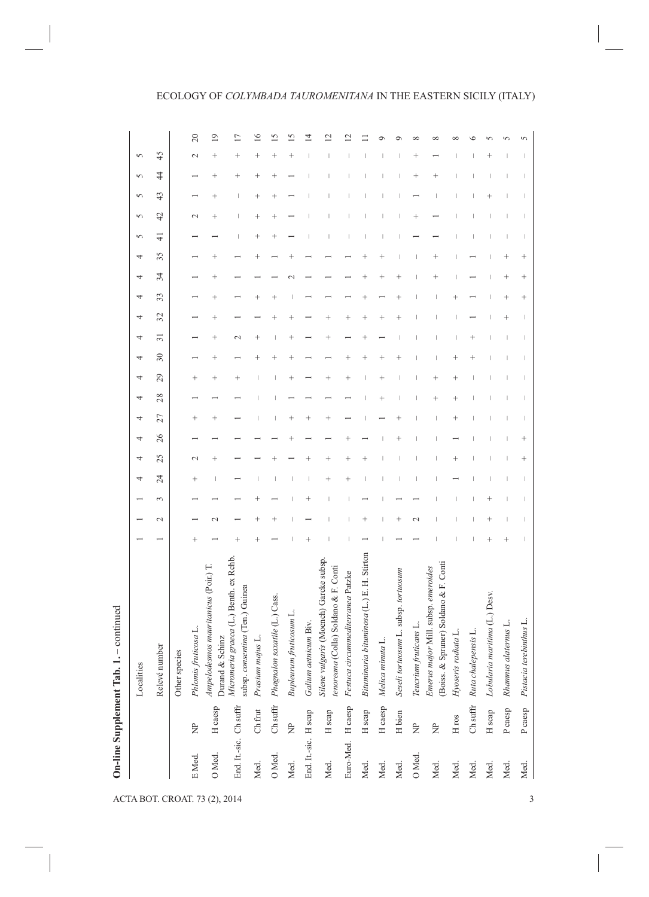## ECOLOGY OF *COLYMBADA TAUROMENITANA* IN THE EASTERN SICILY (ITALY)

|                               |                        |                   | On-line Supplement Tab. 1.                                                     |        |               |   |        |                    |    |           |           |                                  |        |                    |           |         |         |    |                |                                  |                                  |                    |           |                 |
|-------------------------------|------------------------|-------------------|--------------------------------------------------------------------------------|--------|---------------|---|--------|--------------------|----|-----------|-----------|----------------------------------|--------|--------------------|-----------|---------|---------|----|----------------|----------------------------------|----------------------------------|--------------------|-----------|-----------------|
|                               |                        |                   | Localities                                                                     |        |               |   | 4      | 4                  | 4  | 4         | 4         | 4                                | 4      | 4                  | 4         | 4       | 4       | 4  | 5              | 5                                | 5                                | 5                  | 5         |                 |
|                               |                        |                   | Relevé number                                                                  |        | $\mathcal{L}$ | 3 | 24     | 25                 | 26 | 27        | 28        | 29                               | $30\,$ | $\overline{31}$    | 32        | 33      | 34      | 35 | $\overline{+}$ | 42                               | 43                               | $\ddot{4}$         | 45        |                 |
|                               |                        |                   | Other species                                                                  |        |               |   |        |                    |    |           |           |                                  |        |                    |           |         |         |    |                |                                  |                                  |                    |           |                 |
|                               | E Med.                 | È                 | Phlomis fruticosa L.                                                           | $^{+}$ |               |   | $^{+}$ | $\mathcal{L}$      |    | $^{+}$    |           | $^{+}$                           |        |                    |           |         |         |    |                | $\mathbf{\sim}$                  |                                  |                    | $\sim$    | 20              |
| ACTA BOT. CROAT. 73 (2), 2014 | O Med.                 | H caesp           | Ampelodesmos mauritanicus (Poir.) T.<br>Durand & Schinz                        |        | $\sim$        |   |        | $\ddag$            |    | $\ddot{}$ |           | $\ddot{}$                        | $^{+}$ | $\hskip 0.025cm +$ | $\ddot{}$ | $\ddag$ | $\ddag$ |    |                | $\hspace{0.1mm} +\hspace{0.1mm}$ | $\hspace{0.1mm} +\hspace{0.1mm}$ | $\hspace{0.1mm} +$ | $\ddot{}$ | $\overline{19}$ |
|                               | End. It -sic. Ch suffr |                   | graeca (L.) Benth. ex Rchb.<br>subsp. consentina (Ten.) Guinea<br>Micromeria   |        |               |   |        |                    |    |           |           |                                  |        | $\scriptstyle\sim$ |           |         |         |    |                |                                  |                                  | $\ddot{}$          | $^{+}$    | ⋍               |
|                               | Med.                   | Ch frut           | Prasium majus L.                                                               |        |               |   |        |                    |    |           |           |                                  |        |                    |           |         |         |    |                |                                  |                                  |                    |           | $\circ$         |
|                               | O Med.                 | Ch suffr          | Phagnalon saxatile (L.) Cass.                                                  |        |               |   |        |                    |    |           |           |                                  |        |                    |           |         |         |    |                | $\ddot{}$                        |                                  | ٠                  | $\ddag$   | S               |
|                               | Med.                   | È                 | Bupleurum fruticosum L.                                                        |        |               |   |        |                    |    |           |           |                                  |        |                    |           |         |         |    |                |                                  |                                  |                    |           |                 |
|                               | End. It.-sic. H scap   |                   | Galium aetnicum Biv.                                                           |        |               |   |        |                    |    |           |           |                                  |        |                    |           |         |         |    |                |                                  |                                  |                    |           | 4               |
|                               | Med.                   | H scap            | Silene vulgaris (Moench) Garcke subsp.<br>tenoreana (Colla) Soldano & F. Conti |        |               |   | $^{+}$ | $\hspace{0.1mm} +$ |    | $\ddot{}$ |           | $\hspace{0.1mm} +\hspace{0.1mm}$ |        |                    | $^{+}$    |         |         |    |                |                                  |                                  |                    |           |                 |
|                               | Euro-Med.              | H caesp           | Festuca circummediterranea Patzke                                              |        |               |   |        |                    |    |           |           |                                  |        |                    |           |         |         |    |                |                                  |                                  |                    |           |                 |
|                               | Med.                   | H scap            | bituminosa (L.) E. H. Stirton<br>Bituminaria                                   |        |               |   |        |                    |    |           |           |                                  |        |                    | $^{+}$    |         |         |    |                |                                  |                                  |                    |           |                 |
|                               | Med.                   | H caesp           | Melica minuta L.                                                               |        |               |   |        |                    |    |           |           |                                  |        |                    |           |         |         |    |                |                                  |                                  |                    |           |                 |
|                               | Med.                   | H bien            | Seseli tortuosum L. subsp. tortuosum                                           |        |               |   |        |                    |    |           |           |                                  |        |                    |           |         |         |    |                |                                  |                                  |                    |           |                 |
|                               | O Med.                 | È                 | Teucrium fruticans L.                                                          |        | $\sim$        |   |        |                    |    |           |           |                                  |        |                    |           |         |         |    |                |                                  |                                  |                    |           |                 |
|                               | Med.                   | È                 | (Boiss. & Spruner) Soldano & F. Conti<br>Emerus major Mill. subsp. emeroides   |        |               |   |        |                    |    |           | $\ddot{}$ |                                  |        |                    |           |         |         |    |                |                                  |                                  |                    |           |                 |
|                               | Med.                   | H ros             | Hyoseris radiata L.                                                            |        |               |   |        |                    |    |           |           |                                  |        |                    |           |         |         |    |                |                                  |                                  |                    |           |                 |
|                               | Med.                   | Ch suffr          | Ruta chalepensis L.                                                            |        |               |   |        |                    |    |           |           |                                  |        |                    |           |         |         |    |                |                                  |                                  |                    |           |                 |
|                               | Med.                   | H <sub>scap</sub> | Lobularia maritima (L.) Desv.                                                  |        |               |   |        |                    |    |           |           |                                  |        |                    |           |         |         |    |                |                                  |                                  |                    |           |                 |
|                               | Med.                   | P caesp           | Rhamnus alaternus L.                                                           |        |               |   |        |                    |    |           |           |                                  |        |                    |           |         |         |    |                |                                  |                                  |                    |           |                 |
| 3                             | Med.                   | P caesp           | Pistacia terebinthus L                                                         |        |               |   |        |                    |    |           |           |                                  |        |                    |           |         |         |    |                |                                  |                                  |                    |           |                 |
|                               |                        |                   |                                                                                |        |               |   |        |                    |    |           |           |                                  |        |                    |           |         |         |    |                |                                  |                                  |                    |           |                 |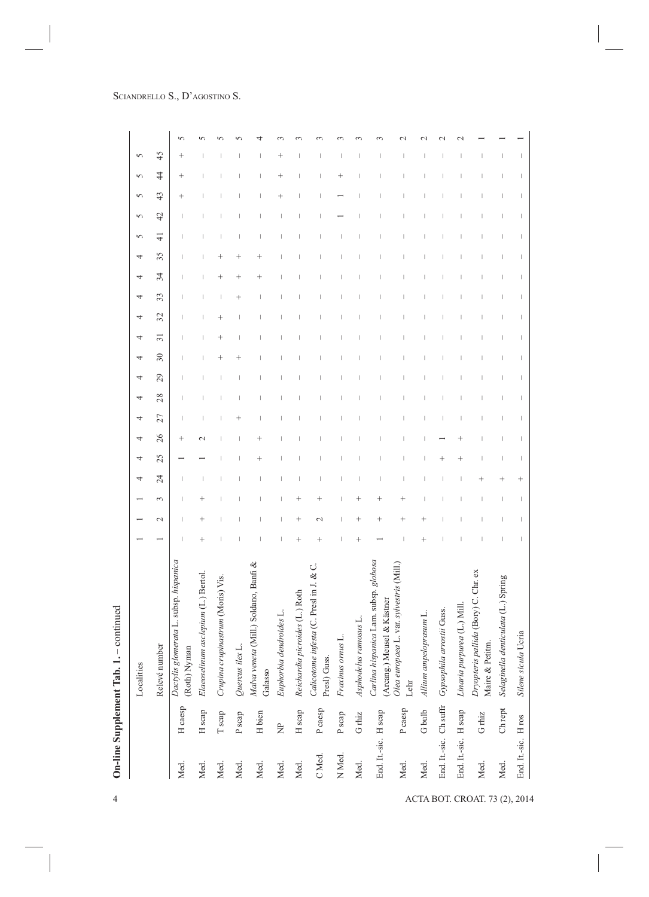| $\sqrt{2}$<br>45<br>$^{+}$<br>$\frac{4}{4}$<br>$^{+}$<br>$\ddot{}$<br>$\ddot{}$<br>$\overline{\phantom{a}}$<br>43<br>$^+$<br>I<br>42<br>I<br>$\overline{\phantom{a}}$<br>4<br>ı<br>35<br>$\,{}^+$<br>34<br>$^{+}$<br>$\overline{\phantom{a}}$<br>I<br>33<br>$^{+}$<br>I<br>1<br>32<br>$\ddot{}$<br>ı<br>$\overline{31}$<br>30<br>I<br>29<br>1<br>28<br>I<br>ı<br>J<br>27<br>$\,+\,$<br>I<br>26<br>$^{+}$<br>I<br>$\mathbf 1$<br>25<br>$\ddot{}$<br>$^{+}$<br>$\begin{array}{c} \end{array}$<br>$\ddot{}$<br>24<br>$^{+}$<br>I<br>$^{+}$<br>3<br>I<br>$\ddag$<br>$\hspace{0.1mm} +$<br>$\overline{\phantom{a}}$<br>$\hspace{0.1mm} +\hspace{0.1mm}$<br>I<br>$^{+}$<br>$\mathbf{\sim}$<br>$^{+}$<br>$\,{}^+$<br>$\hspace{0.1mm} +\hspace{0.1mm}$<br>$\overline{\phantom{a}}$<br>I<br>$\mathcal{L}$<br>$^{+}$<br>$\ddot{}$<br>$\,+\,$<br>$\,+\,$<br>$\,+\,$<br>I<br>Carlina hispanica Lam. subsp. globosa<br>Dactylis glomerata L. subsp. hispanica<br>Malva veneta (Mill.) Soldano, Banfi &<br>Olea europaea L. var. sylvestris (Mill.)<br>Calicotome infesta (C. Presl in J. & C.<br>Dryopteris pallida (Bory) C. Chr. ex<br>Elaeoselinum asclepium (L.) Bertol.<br>Crupina crupinastrum (Moris) Vis.<br>denticulata (L.) Spring<br>Reichardia picroides (L.) Roth<br>(Arcang.) Meusel & Kästner<br>Linaria purpurea (L.) Mill.<br>arrostii Guss.<br>Euphorbia dendroides L.<br>Allium ampeloprasum L.<br>ranosus L.<br>Silene sicula Ucria<br>Fraxinus ornus L.<br>Maire & Petitm.<br>Relevé number<br>Quercus ilex L.<br>(Roth) Nyman<br>Presl) Guss<br>Asphodelus<br>Gypsophila<br>Selaginella<br>Galasso<br>Lehr<br>End. It.-sic. Ch suffr<br>H caesp<br>P caesp<br>P caesp<br>${\rm Ch}$ rept<br>H scap<br>G bulb<br>End. It.-sic. H scap<br>H scap<br>End. It.-sic. H scap<br>H bien<br>$\mathbb T$ scap<br>P scap<br>${\rm G}$ rhiz<br>${\rm G}$ rhiz<br>P scap<br>End. It.-sic. H ros<br>È<br>N Med.<br>C Med.<br>Med.<br>Med.<br>Med.<br>Med.<br>Med.<br>Med.<br>Med.<br>Med.<br>Med.<br>Med.<br>Med.<br>Med. |  | Localities |  | 4 | 4 | 4 | 4 | 4 | 4 | 4 | 4 | 4 | 4 | 4<br>4 | 5 | 5 | 5 | 5 | 5 |  |
|-----------------------------------------------------------------------------------------------------------------------------------------------------------------------------------------------------------------------------------------------------------------------------------------------------------------------------------------------------------------------------------------------------------------------------------------------------------------------------------------------------------------------------------------------------------------------------------------------------------------------------------------------------------------------------------------------------------------------------------------------------------------------------------------------------------------------------------------------------------------------------------------------------------------------------------------------------------------------------------------------------------------------------------------------------------------------------------------------------------------------------------------------------------------------------------------------------------------------------------------------------------------------------------------------------------------------------------------------------------------------------------------------------------------------------------------------------------------------------------------------------------------------------------------------------------------------------------------------------------------------------------------------------------------------------------------------------------------------------------------------------------------------------------------------------------------------------------------------------------------------------------------------------------------------------------------------------------------------------------------------------------------------|--|------------|--|---|---|---|---|---|---|---|---|---|---|--------|---|---|---|---|---|--|
|                                                                                                                                                                                                                                                                                                                                                                                                                                                                                                                                                                                                                                                                                                                                                                                                                                                                                                                                                                                                                                                                                                                                                                                                                                                                                                                                                                                                                                                                                                                                                                                                                                                                                                                                                                                                                                                                                                                                                                                                                       |  |            |  |   |   |   |   |   |   |   |   |   |   |        |   |   |   |   |   |  |
|                                                                                                                                                                                                                                                                                                                                                                                                                                                                                                                                                                                                                                                                                                                                                                                                                                                                                                                                                                                                                                                                                                                                                                                                                                                                                                                                                                                                                                                                                                                                                                                                                                                                                                                                                                                                                                                                                                                                                                                                                       |  |            |  |   |   |   |   |   |   |   |   |   |   |        |   |   |   |   |   |  |
|                                                                                                                                                                                                                                                                                                                                                                                                                                                                                                                                                                                                                                                                                                                                                                                                                                                                                                                                                                                                                                                                                                                                                                                                                                                                                                                                                                                                                                                                                                                                                                                                                                                                                                                                                                                                                                                                                                                                                                                                                       |  |            |  |   |   |   |   |   |   |   |   |   |   |        |   |   |   |   |   |  |
|                                                                                                                                                                                                                                                                                                                                                                                                                                                                                                                                                                                                                                                                                                                                                                                                                                                                                                                                                                                                                                                                                                                                                                                                                                                                                                                                                                                                                                                                                                                                                                                                                                                                                                                                                                                                                                                                                                                                                                                                                       |  |            |  |   |   |   |   |   |   |   |   |   |   |        |   |   |   |   |   |  |
|                                                                                                                                                                                                                                                                                                                                                                                                                                                                                                                                                                                                                                                                                                                                                                                                                                                                                                                                                                                                                                                                                                                                                                                                                                                                                                                                                                                                                                                                                                                                                                                                                                                                                                                                                                                                                                                                                                                                                                                                                       |  |            |  |   |   |   |   |   |   |   |   |   |   |        |   |   |   |   |   |  |
|                                                                                                                                                                                                                                                                                                                                                                                                                                                                                                                                                                                                                                                                                                                                                                                                                                                                                                                                                                                                                                                                                                                                                                                                                                                                                                                                                                                                                                                                                                                                                                                                                                                                                                                                                                                                                                                                                                                                                                                                                       |  |            |  |   |   |   |   |   |   |   |   |   |   |        |   |   |   |   |   |  |
|                                                                                                                                                                                                                                                                                                                                                                                                                                                                                                                                                                                                                                                                                                                                                                                                                                                                                                                                                                                                                                                                                                                                                                                                                                                                                                                                                                                                                                                                                                                                                                                                                                                                                                                                                                                                                                                                                                                                                                                                                       |  |            |  |   |   |   |   |   |   |   |   |   |   |        |   |   |   |   |   |  |
|                                                                                                                                                                                                                                                                                                                                                                                                                                                                                                                                                                                                                                                                                                                                                                                                                                                                                                                                                                                                                                                                                                                                                                                                                                                                                                                                                                                                                                                                                                                                                                                                                                                                                                                                                                                                                                                                                                                                                                                                                       |  |            |  |   |   |   |   |   |   |   |   |   |   |        |   |   |   |   |   |  |
|                                                                                                                                                                                                                                                                                                                                                                                                                                                                                                                                                                                                                                                                                                                                                                                                                                                                                                                                                                                                                                                                                                                                                                                                                                                                                                                                                                                                                                                                                                                                                                                                                                                                                                                                                                                                                                                                                                                                                                                                                       |  |            |  |   |   |   |   |   |   |   |   |   |   |        |   |   |   |   |   |  |
|                                                                                                                                                                                                                                                                                                                                                                                                                                                                                                                                                                                                                                                                                                                                                                                                                                                                                                                                                                                                                                                                                                                                                                                                                                                                                                                                                                                                                                                                                                                                                                                                                                                                                                                                                                                                                                                                                                                                                                                                                       |  |            |  |   |   |   |   |   |   |   |   |   |   |        |   |   |   |   |   |  |
|                                                                                                                                                                                                                                                                                                                                                                                                                                                                                                                                                                                                                                                                                                                                                                                                                                                                                                                                                                                                                                                                                                                                                                                                                                                                                                                                                                                                                                                                                                                                                                                                                                                                                                                                                                                                                                                                                                                                                                                                                       |  |            |  |   |   |   |   |   |   |   |   |   |   |        |   |   |   |   |   |  |
|                                                                                                                                                                                                                                                                                                                                                                                                                                                                                                                                                                                                                                                                                                                                                                                                                                                                                                                                                                                                                                                                                                                                                                                                                                                                                                                                                                                                                                                                                                                                                                                                                                                                                                                                                                                                                                                                                                                                                                                                                       |  |            |  |   |   |   |   |   |   |   |   |   |   |        |   |   |   |   |   |  |
|                                                                                                                                                                                                                                                                                                                                                                                                                                                                                                                                                                                                                                                                                                                                                                                                                                                                                                                                                                                                                                                                                                                                                                                                                                                                                                                                                                                                                                                                                                                                                                                                                                                                                                                                                                                                                                                                                                                                                                                                                       |  |            |  |   |   |   |   |   |   |   |   |   |   |        |   |   |   |   |   |  |
|                                                                                                                                                                                                                                                                                                                                                                                                                                                                                                                                                                                                                                                                                                                                                                                                                                                                                                                                                                                                                                                                                                                                                                                                                                                                                                                                                                                                                                                                                                                                                                                                                                                                                                                                                                                                                                                                                                                                                                                                                       |  |            |  |   |   |   |   |   |   |   |   |   |   |        |   |   |   |   |   |  |
|                                                                                                                                                                                                                                                                                                                                                                                                                                                                                                                                                                                                                                                                                                                                                                                                                                                                                                                                                                                                                                                                                                                                                                                                                                                                                                                                                                                                                                                                                                                                                                                                                                                                                                                                                                                                                                                                                                                                                                                                                       |  |            |  |   |   |   |   |   |   |   |   |   |   |        |   |   |   |   |   |  |
|                                                                                                                                                                                                                                                                                                                                                                                                                                                                                                                                                                                                                                                                                                                                                                                                                                                                                                                                                                                                                                                                                                                                                                                                                                                                                                                                                                                                                                                                                                                                                                                                                                                                                                                                                                                                                                                                                                                                                                                                                       |  |            |  |   |   |   |   |   |   |   |   |   |   |        |   |   |   |   |   |  |
|                                                                                                                                                                                                                                                                                                                                                                                                                                                                                                                                                                                                                                                                                                                                                                                                                                                                                                                                                                                                                                                                                                                                                                                                                                                                                                                                                                                                                                                                                                                                                                                                                                                                                                                                                                                                                                                                                                                                                                                                                       |  |            |  |   |   |   |   |   |   |   |   |   |   |        |   |   |   |   |   |  |
|                                                                                                                                                                                                                                                                                                                                                                                                                                                                                                                                                                                                                                                                                                                                                                                                                                                                                                                                                                                                                                                                                                                                                                                                                                                                                                                                                                                                                                                                                                                                                                                                                                                                                                                                                                                                                                                                                                                                                                                                                       |  |            |  |   |   |   |   |   |   |   |   |   |   |        |   |   |   |   |   |  |
|                                                                                                                                                                                                                                                                                                                                                                                                                                                                                                                                                                                                                                                                                                                                                                                                                                                                                                                                                                                                                                                                                                                                                                                                                                                                                                                                                                                                                                                                                                                                                                                                                                                                                                                                                                                                                                                                                                                                                                                                                       |  |            |  |   |   |   |   |   |   |   |   |   |   |        |   |   |   |   |   |  |
|                                                                                                                                                                                                                                                                                                                                                                                                                                                                                                                                                                                                                                                                                                                                                                                                                                                                                                                                                                                                                                                                                                                                                                                                                                                                                                                                                                                                                                                                                                                                                                                                                                                                                                                                                                                                                                                                                                                                                                                                                       |  |            |  |   |   |   |   |   |   |   |   |   |   |        |   |   |   |   |   |  |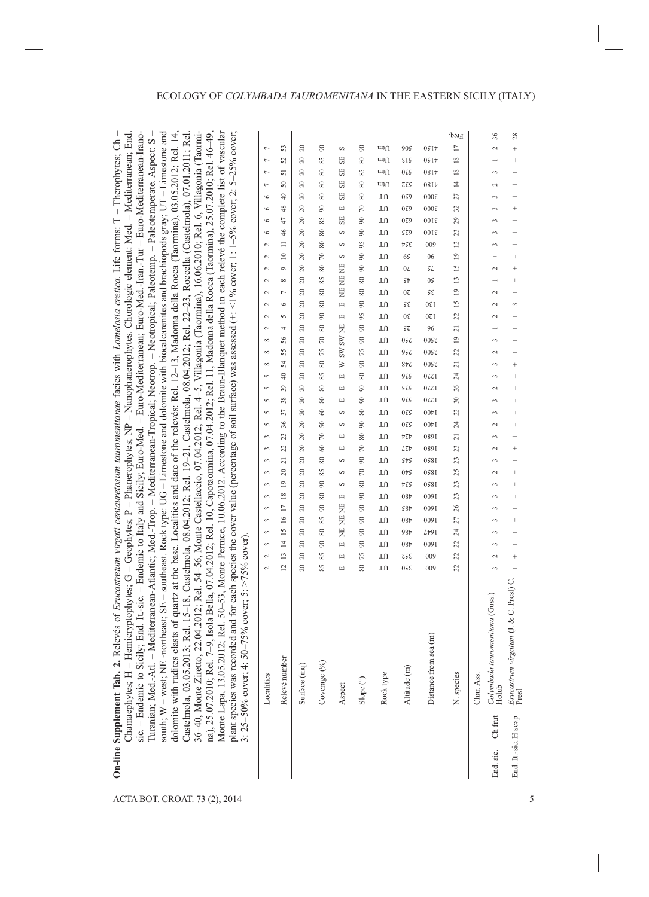| End                                                                                                                                                                                                                                                                                                                                                                                                                                                                                                                                                                                                                                                                                                                                                                                                                                                                                                                                                                                                                                                                                                                                                                                                                                                                                                                                                                                                                                                                                                                                                  |                          |                 |              |                            |                                                                                                                                                                                                                                                                                                                                                                                                                                                                                   |                            |                    |                                  |                       | Freq.           | 36                                                                            | 28                                                                         |   |
|------------------------------------------------------------------------------------------------------------------------------------------------------------------------------------------------------------------------------------------------------------------------------------------------------------------------------------------------------------------------------------------------------------------------------------------------------------------------------------------------------------------------------------------------------------------------------------------------------------------------------------------------------------------------------------------------------------------------------------------------------------------------------------------------------------------------------------------------------------------------------------------------------------------------------------------------------------------------------------------------------------------------------------------------------------------------------------------------------------------------------------------------------------------------------------------------------------------------------------------------------------------------------------------------------------------------------------------------------------------------------------------------------------------------------------------------------------------------------------------------------------------------------------------------------|--------------------------|-----------------|--------------|----------------------------|-----------------------------------------------------------------------------------------------------------------------------------------------------------------------------------------------------------------------------------------------------------------------------------------------------------------------------------------------------------------------------------------------------------------------------------------------------------------------------------|----------------------------|--------------------|----------------------------------|-----------------------|-----------------|-------------------------------------------------------------------------------|----------------------------------------------------------------------------|---|
| - Euro-Mediterranean; Euro-Med.-Iran.-Tur - Euro-Mediterranean-Irano-<br>- Neotropical; Paleotemp. - Paleotemperate. Aspect: S                                                                                                                                                                                                                                                                                                                                                                                                                                                                                                                                                                                                                                                                                                                                                                                                                                                                                                                                                                                                                                                                                                                                                                                                                                                                                                                                                                                                                       | $\overline{ }$           | 53              | $\approx$    | $\infty$                   | S                                                                                                                                                                                                                                                                                                                                                                                                                                                                                 | $_{\odot}$                 | $\text{un}_\Omega$ | 909                              | 05 I t                | $\Box$          | $\sim$                                                                        | $^{+}$                                                                     |   |
|                                                                                                                                                                                                                                                                                                                                                                                                                                                                                                                                                                                                                                                                                                                                                                                                                                                                                                                                                                                                                                                                                                                                                                                                                                                                                                                                                                                                                                                                                                                                                      | $\overline{ }$           | 25              | $\approx$    | 85                         | SE                                                                                                                                                                                                                                                                                                                                                                                                                                                                                | 80                         | ադ∩                | EIS                              | 05 I t                | $\overline{18}$ | -                                                                             | $\mathbb{I}$                                                               |   |
|                                                                                                                                                                                                                                                                                                                                                                                                                                                                                                                                                                                                                                                                                                                                                                                                                                                                                                                                                                                                                                                                                                                                                                                                                                                                                                                                                                                                                                                                                                                                                      | Γ                        | 51              | $\approx$    | $\rm 80$                   | SE                                                                                                                                                                                                                                                                                                                                                                                                                                                                                | 85                         | $\text{un}_\Omega$ | 530                              | 0814                  | $\frac{8}{2}$   | 3                                                                             | $\overline{a}$                                                             |   |
| - Mediterranean;                                                                                                                                                                                                                                                                                                                                                                                                                                                                                                                                                                                                                                                                                                                                                                                                                                                                                                                                                                                                                                                                                                                                                                                                                                                                                                                                                                                                                                                                                                                                     | $\overline{ }$           | $50\,$          | $\approx$    | 80                         | $_{\rm SE}$                                                                                                                                                                                                                                                                                                                                                                                                                                                                       | 80                         | $\text{un}_\Omega$ | TES                              | 08It                  | $\overline{4}$  | 2                                                                             | $\overline{ }$                                                             |   |
|                                                                                                                                                                                                                                                                                                                                                                                                                                                                                                                                                                                                                                                                                                                                                                                                                                                                                                                                                                                                                                                                                                                                                                                                                                                                                                                                                                                                                                                                                                                                                      | $\circ$                  | 49              | $\approx$    | $\rm 80$                   | SE                                                                                                                                                                                                                                                                                                                                                                                                                                                                                | $\rm 80$                   | TU                 | 099                              | 000ε                  | 27              | 3                                                                             | $\overline{ }$                                                             |   |
|                                                                                                                                                                                                                                                                                                                                                                                                                                                                                                                                                                                                                                                                                                                                                                                                                                                                                                                                                                                                                                                                                                                                                                                                                                                                                                                                                                                                                                                                                                                                                      | $\circ$                  | 48              | 20           | 90                         | $\Box$                                                                                                                                                                                                                                                                                                                                                                                                                                                                            | $\approx$                  | TU                 | 089                              | 000ε                  | $32\,$          | 3                                                                             | $^{+}$                                                                     |   |
|                                                                                                                                                                                                                                                                                                                                                                                                                                                                                                                                                                                                                                                                                                                                                                                                                                                                                                                                                                                                                                                                                                                                                                                                                                                                                                                                                                                                                                                                                                                                                      | $\circ$                  | 47              | $\approx$    | 85                         | $_{\rm SE}$                                                                                                                                                                                                                                                                                                                                                                                                                                                                       | $\overline{6}$             | TU                 | 079                              | 10016                 | 29              | 3                                                                             | $\overline{a}$                                                             |   |
| - Nanophanerophytes. Chorologic element: Med.                                                                                                                                                                                                                                                                                                                                                                                                                                                                                                                                                                                                                                                                                                                                                                                                                                                                                                                                                                                                                                                                                                                                                                                                                                                                                                                                                                                                                                                                                                        | $\circ$                  | 46              | $\approx$    | 80                         | S                                                                                                                                                                                                                                                                                                                                                                                                                                                                                 | $\boldsymbol{\mathcal{S}}$ | TU                 | $\mathsf{S}\mathsf{Z}\mathsf{9}$ | 3100                  | 23              | 3                                                                             | $\overline{ }$                                                             |   |
|                                                                                                                                                                                                                                                                                                                                                                                                                                                                                                                                                                                                                                                                                                                                                                                                                                                                                                                                                                                                                                                                                                                                                                                                                                                                                                                                                                                                                                                                                                                                                      | $\mathcal{L}$            | $\equiv$        | $\approx$    | $\rm 80$                   | S                                                                                                                                                                                                                                                                                                                                                                                                                                                                                 | 95                         | TU                 | ÞSε                              | 009                   | $\overline{c}$  | 3                                                                             | -                                                                          |   |
|                                                                                                                                                                                                                                                                                                                                                                                                                                                                                                                                                                                                                                                                                                                                                                                                                                                                                                                                                                                                                                                                                                                                                                                                                                                                                                                                                                                                                                                                                                                                                      | 2                        | $\approx$       | $\approx$    | $\approx$                  | S                                                                                                                                                                                                                                                                                                                                                                                                                                                                                 | $\overline{6}$             | TU                 | 65                               | 06                    | $\overline{1}$  | $^{+}$                                                                        | 1                                                                          |   |
|                                                                                                                                                                                                                                                                                                                                                                                                                                                                                                                                                                                                                                                                                                                                                                                                                                                                                                                                                                                                                                                                                                                                                                                                                                                                                                                                                                                                                                                                                                                                                      | 2                        | $\circ$         | $\approx$    | 80                         |                                                                                                                                                                                                                                                                                                                                                                                                                                                                                   | $\overline{6}$             | TU                 | $0L$                             | SL                    | $\overline{15}$ | 2                                                                             | $\ddot{}$                                                                  |   |
|                                                                                                                                                                                                                                                                                                                                                                                                                                                                                                                                                                                                                                                                                                                                                                                                                                                                                                                                                                                                                                                                                                                                                                                                                                                                                                                                                                                                                                                                                                                                                      | $\mathcal{L}$            | $\infty$        | $\approx$    | 85                         | NE NE NE                                                                                                                                                                                                                                                                                                                                                                                                                                                                          | $\rm 80$                   | TU                 | SÞ                               | 0S                    | $\mathbf{r}$    | $\overline{\phantom{0}}$                                                      | $\ddot{}$                                                                  |   |
|                                                                                                                                                                                                                                                                                                                                                                                                                                                                                                                                                                                                                                                                                                                                                                                                                                                                                                                                                                                                                                                                                                                                                                                                                                                                                                                                                                                                                                                                                                                                                      | $\sim$                   | L               | $\approx$    | $\rm 80$                   |                                                                                                                                                                                                                                                                                                                                                                                                                                                                                   | 80                         | TU                 | $0\zeta$                         | ςg                    | $\overline{a}$  | $\sim$                                                                        | $\overline{ }$                                                             |   |
|                                                                                                                                                                                                                                                                                                                                                                                                                                                                                                                                                                                                                                                                                                                                                                                                                                                                                                                                                                                                                                                                                                                                                                                                                                                                                                                                                                                                                                                                                                                                                      | 2                        | $\circ$         | 20           | $\rm 80$                   | $\boxed{\underline{\phantom{a}}}% =\qquad\phantom{\int\mathbf{a}}% =\qquad\phantom{\Bigg(}\sum_{i=1}^{N}\sum_{j=1}^{N}\sum_{j=1}^{N}\sum_{j=1}^{N}\sum_{j=1}^{N}(\beta_{i}^{N}-\beta_{i}^{N})\left( \sum_{j=1}^{N}\sum_{j=1}^{N}(\beta_{j}^{N}-\beta_{j}^{N})\right) \label{eq:2.11}$                                                                                                                                                                                             | $\overline{6}$             | TU                 | S٤                               | 130                   | $\overline{15}$ | 2                                                                             | 3                                                                          |   |
|                                                                                                                                                                                                                                                                                                                                                                                                                                                                                                                                                                                                                                                                                                                                                                                                                                                                                                                                                                                                                                                                                                                                                                                                                                                                                                                                                                                                                                                                                                                                                      | $\mathcal{L}$            | 5               | $\approx$    | $\boldsymbol{\mathcal{S}}$ | Щ                                                                                                                                                                                                                                                                                                                                                                                                                                                                                 | 95                         | TU                 | $0\xi$                           | 170                   | 22              | $\sim$                                                                        | $\overline{ }$                                                             |   |
|                                                                                                                                                                                                                                                                                                                                                                                                                                                                                                                                                                                                                                                                                                                                                                                                                                                                                                                                                                                                                                                                                                                                                                                                                                                                                                                                                                                                                                                                                                                                                      | 2                        | 4               | 20           | $\rm 80$                   |                                                                                                                                                                                                                                                                                                                                                                                                                                                                                   | $\overline{6}$             | TU                 | Sτ                               | 96                    | $\overline{21}$ | -                                                                             | $\overline{\phantom{0}}$                                                   |   |
|                                                                                                                                                                                                                                                                                                                                                                                                                                                                                                                                                                                                                                                                                                                                                                                                                                                                                                                                                                                                                                                                                                                                                                                                                                                                                                                                                                                                                                                                                                                                                      | $\infty$                 | 56              | 20           | $\sqrt{2}$                 | <b>SW NE</b>                                                                                                                                                                                                                                                                                                                                                                                                                                                                      | $\overline{6}$             | TU                 | 0SZ                              | 00SZ                  | $\overline{a}$  | 3                                                                             | $\overline{\phantom{0}}$                                                   |   |
|                                                                                                                                                                                                                                                                                                                                                                                                                                                                                                                                                                                                                                                                                                                                                                                                                                                                                                                                                                                                                                                                                                                                                                                                                                                                                                                                                                                                                                                                                                                                                      | $\infty$                 | 55              | $\approx$    | 75                         | W                                                                                                                                                                                                                                                                                                                                                                                                                                                                                 | 75                         | TU                 | 957                              | 0057                  | 22              | $\mathbf{C}$                                                                  | $\overline{ }$                                                             |   |
|                                                                                                                                                                                                                                                                                                                                                                                                                                                                                                                                                                                                                                                                                                                                                                                                                                                                                                                                                                                                                                                                                                                                                                                                                                                                                                                                                                                                                                                                                                                                                      | $\infty$                 | 54              | $\approx$    | $\rm 80$                   | ≽                                                                                                                                                                                                                                                                                                                                                                                                                                                                                 | $\boldsymbol{\mathcal{S}}$ | TU                 | 842                              | 00 <sub>S</sub> z     | $\overline{21}$ | 3                                                                             | $\ddot{}$                                                                  |   |
|                                                                                                                                                                                                                                                                                                                                                                                                                                                                                                                                                                                                                                                                                                                                                                                                                                                                                                                                                                                                                                                                                                                                                                                                                                                                                                                                                                                                                                                                                                                                                      | 5                        | $\frac{40}{5}$  | 20           | 85                         | $\boxed{\underline{\mathbf{L}}}$                                                                                                                                                                                                                                                                                                                                                                                                                                                  | $80\,$                     | TU                 | 985                              | 1220                  | 24              | 3                                                                             | I                                                                          |   |
|                                                                                                                                                                                                                                                                                                                                                                                                                                                                                                                                                                                                                                                                                                                                                                                                                                                                                                                                                                                                                                                                                                                                                                                                                                                                                                                                                                                                                                                                                                                                                      | S                        | 39              | 20           | 80                         | Щ                                                                                                                                                                                                                                                                                                                                                                                                                                                                                 | $\boldsymbol{\mathcal{S}}$ | TU                 | SES                              | 0ZZI                  | 26              | $\sim$                                                                        | I                                                                          |   |
|                                                                                                                                                                                                                                                                                                                                                                                                                                                                                                                                                                                                                                                                                                                                                                                                                                                                                                                                                                                                                                                                                                                                                                                                                                                                                                                                                                                                                                                                                                                                                      | 5                        | 38              | $\Omega$     | $\rm 80$                   | $\begin{array}{c} \square \end{array}$                                                                                                                                                                                                                                                                                                                                                                                                                                            | $\boldsymbol{\mathcal{S}}$ | TU                 | 985                              | 1220                  | $30\,$          | 3                                                                             | I                                                                          |   |
|                                                                                                                                                                                                                                                                                                                                                                                                                                                                                                                                                                                                                                                                                                                                                                                                                                                                                                                                                                                                                                                                                                                                                                                                                                                                                                                                                                                                                                                                                                                                                      | 5                        | 57              | 20           | $\otimes$                  | S                                                                                                                                                                                                                                                                                                                                                                                                                                                                                 | $80\,$                     | TU                 | 530                              | $00\nu$ I             | 22              | 3                                                                             | $\, \vert \,$                                                              |   |
|                                                                                                                                                                                                                                                                                                                                                                                                                                                                                                                                                                                                                                                                                                                                                                                                                                                                                                                                                                                                                                                                                                                                                                                                                                                                                                                                                                                                                                                                                                                                                      | 5                        | 36              | $\gtrsim$    | $50\,$                     | S                                                                                                                                                                                                                                                                                                                                                                                                                                                                                 | $\boldsymbol{\mathcal{S}}$ | TU                 | 530                              | $00\nu$ I             | 24              | 2                                                                             | $\mathbb{I}$                                                               |   |
| $G - Geophytes$ ; $P - Planerophytes$ ; NP<br>- Endemic to Italy and Sicily; Euro-Med.                                                                                                                                                                                                                                                                                                                                                                                                                                                                                                                                                                                                                                                                                                                                                                                                                                                                                                                                                                                                                                                                                                                                                                                                                                                                                                                                                                                                                                                               | 3                        | 23              | $\approx$    | $\approx$                  | $\Xi$                                                                                                                                                                                                                                                                                                                                                                                                                                                                             | $\rm 80$                   | TU                 | tt                               | 0891                  | $\overline{21}$ | 3                                                                             | $\overline{ }$                                                             |   |
|                                                                                                                                                                                                                                                                                                                                                                                                                                                                                                                                                                                                                                                                                                                                                                                                                                                                                                                                                                                                                                                                                                                                                                                                                                                                                                                                                                                                                                                                                                                                                      | 3                        | 22              | 20           | $\otimes$                  | $\Xi$                                                                                                                                                                                                                                                                                                                                                                                                                                                                             | $\approx$                  | TU                 | LTÞ                              | 0891                  | 23              | $\mathbf{C}$                                                                  | $^{+}$                                                                     |   |
|                                                                                                                                                                                                                                                                                                                                                                                                                                                                                                                                                                                                                                                                                                                                                                                                                                                                                                                                                                                                                                                                                                                                                                                                                                                                                                                                                                                                                                                                                                                                                      | 3                        | $\overline{c}$  | 20           | $\rm 80$                   | S                                                                                                                                                                                                                                                                                                                                                                                                                                                                                 | $\overline{6}$             | TU                 | SÞS                              | 0581                  | 23              | 3                                                                             | $\overline{ }$                                                             |   |
|                                                                                                                                                                                                                                                                                                                                                                                                                                                                                                                                                                                                                                                                                                                                                                                                                                                                                                                                                                                                                                                                                                                                                                                                                                                                                                                                                                                                                                                                                                                                                      | 3                        | $\approx$       | 20           | 85                         | S                                                                                                                                                                                                                                                                                                                                                                                                                                                                                 | $\approx$                  | TU                 | 0ÞS                              | 0581                  | 25              | $\sim$                                                                        | $\ddot{}$                                                                  |   |
|                                                                                                                                                                                                                                                                                                                                                                                                                                                                                                                                                                                                                                                                                                                                                                                                                                                                                                                                                                                                                                                                                                                                                                                                                                                                                                                                                                                                                                                                                                                                                      | 3                        | $\overline{a}$  | $\approx$    | $\infty$                   | S                                                                                                                                                                                                                                                                                                                                                                                                                                                                                 | 80                         | TU                 | Þεs                              | 0581                  | 23              | 3                                                                             | $^{+}$                                                                     |   |
|                                                                                                                                                                                                                                                                                                                                                                                                                                                                                                                                                                                                                                                                                                                                                                                                                                                                                                                                                                                                                                                                                                                                                                                                                                                                                                                                                                                                                                                                                                                                                      | 3                        | $\overline{18}$ | 20           | 80                         | Щ                                                                                                                                                                                                                                                                                                                                                                                                                                                                                 | $\overline{6}$             | TU                 | 08+                              | 0091                  | 23              | 3                                                                             | $\mathbb{I}$                                                               |   |
|                                                                                                                                                                                                                                                                                                                                                                                                                                                                                                                                                                                                                                                                                                                                                                                                                                                                                                                                                                                                                                                                                                                                                                                                                                                                                                                                                                                                                                                                                                                                                      | 3                        | $\overline{17}$ | 20           | $\infty$                   | Ë                                                                                                                                                                                                                                                                                                                                                                                                                                                                                 | $\boldsymbol{\mathcal{S}}$ | TU                 | $\zeta 8 \nu$                    | 0091                  | 26              | 3                                                                             | $\overline{ }$                                                             |   |
|                                                                                                                                                                                                                                                                                                                                                                                                                                                                                                                                                                                                                                                                                                                                                                                                                                                                                                                                                                                                                                                                                                                                                                                                                                                                                                                                                                                                                                                                                                                                                      | 3                        | $\geq$          | $\approx$    | 85                         | Ë                                                                                                                                                                                                                                                                                                                                                                                                                                                                                 | $\boldsymbol{\mathcal{S}}$ | TU                 | 08+                              | 0091                  | 27              | 3                                                                             | $^{+}$                                                                     |   |
|                                                                                                                                                                                                                                                                                                                                                                                                                                                                                                                                                                                                                                                                                                                                                                                                                                                                                                                                                                                                                                                                                                                                                                                                                                                                                                                                                                                                                                                                                                                                                      | 3                        | $\overline{15}$ | $\approx$    | $\rm 80$                   | Ë                                                                                                                                                                                                                                                                                                                                                                                                                                                                                 | $\overline{6}$             | TU                 | 98+                              | Lt91                  | 24              | 3                                                                             | $\overline{ }$                                                             |   |
|                                                                                                                                                                                                                                                                                                                                                                                                                                                                                                                                                                                                                                                                                                                                                                                                                                                                                                                                                                                                                                                                                                                                                                                                                                                                                                                                                                                                                                                                                                                                                      | $\sim$                   | $\overline{4}$  | 20           | $\infty$                   | $\boxed{\underline{\phantom{a}}}% =\qquad\phantom{\int\mathbf{a}}% =\qquad\phantom{\Bigg(}\sum_{i=1}^{N}\sum_{j=1}^{N}\sum_{j=1}^{N}\sum_{j=1}^{N}\sum_{j=1}^{N}(\beta_{i}^{N}-\beta_{i}^{N})\left( \sum_{j=1}^{N}\sum_{j=1}^{N}(\beta_{j}^{N}-\beta_{j}^{N})\right) \label{eq:2.11}$                                                                                                                                                                                             | $\infty$                   | TU                 | 08+                              | 0091                  | 22              | 3                                                                             | $\overline{\phantom{0}}$                                                   |   |
|                                                                                                                                                                                                                                                                                                                                                                                                                                                                                                                                                                                                                                                                                                                                                                                                                                                                                                                                                                                                                                                                                                                                                                                                                                                                                                                                                                                                                                                                                                                                                      | $\overline{\mathcal{L}}$ | $\mathbf{r}$    | $\approx$    | 85                         | $\boxed{\underline{\mathbf{L}}}$                                                                                                                                                                                                                                                                                                                                                                                                                                                  | 75                         | Tυ                 | ZSE                              | 009                   | 22              | $\sim$                                                                        | $^{+}$                                                                     |   |
|                                                                                                                                                                                                                                                                                                                                                                                                                                                                                                                                                                                                                                                                                                                                                                                                                                                                                                                                                                                                                                                                                                                                                                                                                                                                                                                                                                                                                                                                                                                                                      | $\overline{\mathcal{L}}$ | $\overline{c}$  | $\approx$    | 85                         | $\boxed{\underline{\phantom{a}}}% =\qquad\phantom{\int\mathbf{a}}% =\qquad\phantom{\int\mathbf{a}}% =\qquad\phantom{\int\mathbf{a}}% =\qquad\phantom{\int\mathbf{a}}% =\qquad\phantom{\int\mathbf{a}}% =\qquad\phantom{\int\mathbf{a}}% =\qquad\phantom{\int\mathbf{a}}% =\qquad\phantom{\int\mathbf{a}}% =\qquad\phantom{\int\mathbf{a}}% =\qquad\phantom{\int\mathbf{a}}% =\qquad\phantom{\int\mathbf{a}}% =\qquad\phantom{\int\mathbf{a}}% =\qquad\phantom{\int\mathbf{a}}% =$ | $80^{\circ}$               | Tυ                 | 920                              | 009                   | 22              | $\sim$                                                                        | -                                                                          |   |
|                                                                                                                                                                                                                                                                                                                                                                                                                                                                                                                                                                                                                                                                                                                                                                                                                                                                                                                                                                                                                                                                                                                                                                                                                                                                                                                                                                                                                                                                                                                                                      |                          |                 |              |                            |                                                                                                                                                                                                                                                                                                                                                                                                                                                                                   |                            |                    |                                  |                       |                 |                                                                               |                                                                            |   |
| -9, Isola Bella, 07.04.2012; Rel. 10, Capotaormina, 07.04.2012; Rel. 11, Madonna della Rocca (Taormina), 25.07.2010; Rel. 46-49,<br>south; W - west; NE -northeast; SE - southeast. Rock type: UG - Limestone and dolomite with biocalcarenites and brachiopods gray; UT - Limestone and<br>22.04.2012; Rel. 54–56, Monte Castellaccio, 07.04.2012; Rel. 4–5, Villagonia (Taormina), 16.06.2010; Rel. 6, Villagonia (Taormi-<br>2; Rel. 50–53, Monte Pernice, 10.06.2012. According to the Braun-Blanquet method in each relevé the complete list of vascular<br>plant species was recorded and for each species the cover value (percentage of soil surface) was assessed $(+, 1, 1)$ (cover; 1: $1-5\%$ cover; 2: 5-25% cover;<br>3; Rel. 15-18, Castelmola, 08.04.2012; Rel. 19-21, Castelmola, 08.04.2012; Rel. 22-23, Roccella (Castelmola), 07.01.2011; Rel.<br>clasts of quartz at the base. Localities and date of the relevés: Rel. 12-13, Madonna della Rocca (Taormina), 03.05.2012; Rel. 14<br>On-line Supplement Tab. 2. Relevés of Erucastretum virgati centaurelosum tauromenitanae facies with Lomelosia cretica. Life forms: T - Therophytes; Ch<br>Mediterranean-Atlantic; Med.-Trop. - Mediterranean-Tropical; Neotrop.<br>$-75%$ cover; 5: $>75%$ cover)<br>Chamaephytes; H - Hemicryptophytes;<br>sic. - Endemic to Sicily; End. It.-sic.<br>Castelmola, 03.05.2013<br>na), 25.07.2010; Rel. 7-<br>Monte Lapa, 13.05.201<br>3: 25-50% cover; 4: 50<br>dolomite with rudites o<br>Turanian; Med.-Atl. -<br>36–40, Monte Ziretto, | Localities               | Relevé number   | Surface (mq) | Coverage (%)               | Aspect                                                                                                                                                                                                                                                                                                                                                                                                                                                                            | Slope <sup>(°)</sup>       | Rock type          | Altitude (m)                     | Distance from sea (m) | N. species      | Colymbada tauromenitana (Guss.)<br>Char. Ass.<br>Holub<br>Ch frut<br>End sic. | C. Presl) C.<br>Erucastrum virgatum (J. &<br>Presl<br>End. It.-sic. H scap |   |
| ACTA BOT. CROAT. 73 (2), 2014                                                                                                                                                                                                                                                                                                                                                                                                                                                                                                                                                                                                                                                                                                                                                                                                                                                                                                                                                                                                                                                                                                                                                                                                                                                                                                                                                                                                                                                                                                                        |                          |                 |              |                            |                                                                                                                                                                                                                                                                                                                                                                                                                                                                                   |                            |                    |                                  |                       |                 |                                                                               |                                                                            | 5 |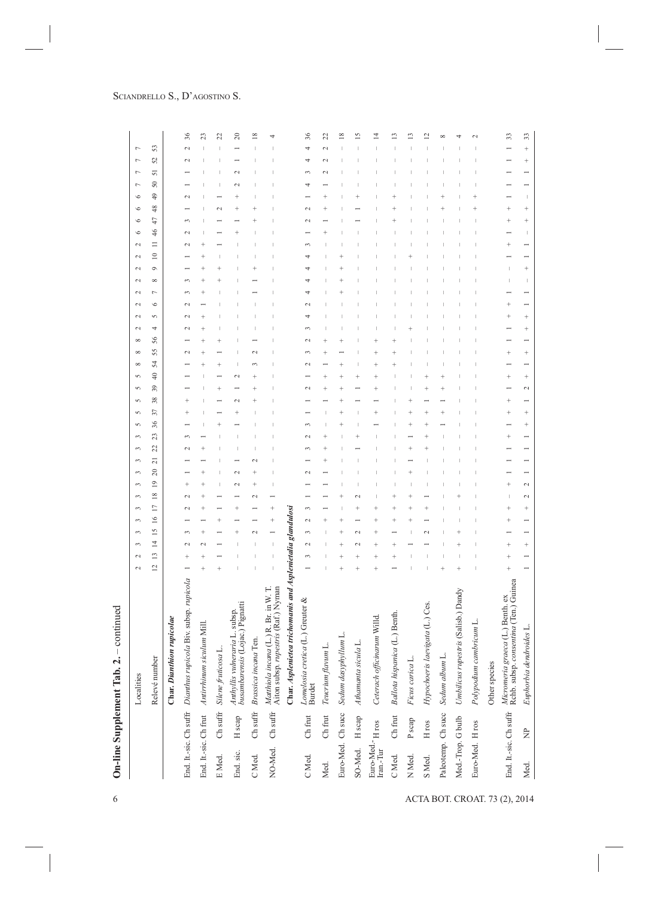|                               |                                        |                        | - continued<br>On-line Supplement Tab. 2.                                          |                |                                              |                 |        |                      |                 |                                  |                |        |    |    |                                              |                          |                |              |          |          |                                              |        |        |          |           |           |                       |    |                      |         |                     |             |                 |           |
|-------------------------------|----------------------------------------|------------------------|------------------------------------------------------------------------------------|----------------|----------------------------------------------|-----------------|--------|----------------------|-----------------|----------------------------------|----------------|--------|----|----|----------------------------------------------|--------------------------|----------------|--------------|----------|----------|----------------------------------------------|--------|--------|----------|-----------|-----------|-----------------------|----|----------------------|---------|---------------------|-------------|-----------------|-----------|
|                               |                                        |                        | Localities                                                                         | 2<br>2         | 3                                            | 3               | 3      | $\sim$               | 3               | $\mathfrak{g}$<br>3              | 3              | 3      | 3  | 5  | 5<br>5                                       | 5                        | 5              | ${}^{\circ}$ | $\infty$ | $\infty$ | $\mathbf{C}$<br>$\sim$                       | $\sim$ | $\sim$ | $\sim$   | $\sim$    | $\sim$    | ৩<br>$\sim$           | ৩  | $\circ$              | $\circ$ | r<br>$\overline{ }$ | ٣           | Γ               |           |
|                               |                                        |                        | Relevé number                                                                      | $\overline{c}$ | $\overline{4}$<br>$\overline{13}$            | $\overline{15}$ | $\geq$ | 17                   | $\overline{18}$ | $\overline{c}$<br>$\overline{1}$ | $\overline{z}$ | 22     | 23 | 36 | 38<br>57                                     | 39                       | $\frac{40}{5}$ | 54           | 55       | 56       | S<br>4                                       | ৩      |        | $\infty$ | $\circ$   | $\approx$ | 46<br>Ξ               | 47 | 48                   | 49      | 51<br>$50\,$        | 25          | 53              |           |
|                               |                                        |                        | Char. Dianthion rupicolae                                                          |                |                                              |                 |        |                      |                 |                                  |                |        |    |    |                                              |                          |                |              |          |          |                                              |        |        |          |           |           |                       |    |                      |         |                     |             |                 |           |
|                               |                                        |                        | End. It.-sic. Ch suffr Dianthus rupicola Biv. subsp. rupicola                      |                |                                              | ç               |        | $\sim$               | $\mathcal{C}$   | ۰                                |                | $\sim$ |    |    |                                              |                          |                |              |          |          | $\sim$<br>$\mathbf{\sim}$                    |        |        |          |           |           | $\mathbf 2$<br>$\sim$ |    |                      | $\sim$  |                     | $\mathbf 2$ | $\mathbf{\sim}$ | 36        |
|                               |                                        | End. It.-sic. Ch frut  | Antirrhinum siculum Mill.                                                          |                |                                              |                 |        |                      |                 |                                  |                |        |    |    |                                              |                          |                |              |          |          |                                              |        |        |          |           |           |                       |    |                      |         |                     |             |                 | Z         |
|                               | E Med.                                 | Ch suffr               | Silene fruticosa                                                                   |                |                                              |                 |        |                      |                 |                                  |                |        |    |    |                                              |                          |                |              |          |          |                                              |        |        |          |           |           |                       |    |                      |         |                     |             |                 | 22        |
|                               | End. sic.                              | H scap                 | Anthyllis vulneraria L. subsp.<br>busambarensis (Lojac.) Pignatti                  |                |                                              |                 |        |                      | $\mathbf 2$     |                                  |                |        |    |    |                                              |                          |                |              |          |          |                                              |        |        |          |           |           |                       |    |                      |         |                     |             |                 | $\approx$ |
|                               | C Med.                                 | ${\rm Ch}$ suffr       | Brassica incana Ten.                                                               |                |                                              |                 |        |                      |                 |                                  |                |        |    |    |                                              |                          |                |              |          |          |                                              |        |        |          |           |           |                       |    |                      |         |                     |             |                 | $\propto$ |
|                               | NO-Med.                                | ${\rm Ch}$ suffr       | Mathiola incana (L.) R. Br. in W. T.<br>Aiton subsp. <i>rupestris</i> (Raf.) Nyman |                |                                              |                 |        |                      |                 |                                  |                |        |    |    |                                              |                          |                |              |          |          |                                              |        |        |          |           |           |                       |    |                      |         |                     |             |                 |           |
|                               |                                        |                        | Char. Asplenietea trichomanis and Asplenietalia glandulosi                         |                |                                              |                 |        |                      |                 |                                  |                |        |    |    |                                              |                          |                |              |          |          |                                              |        |        |          |           |           |                       |    |                      |         |                     |             |                 |           |
|                               | C Med.                                 | Ch frut                | Lomelosia cretica (L.) Greuter &<br><b>Burdet</b>                                  | 3              | $\overline{\mathbf{C}}$                      | 3               | $\sim$ | $\sim$               |                 |                                  |                |        |    |    |                                              | $\sim$                   |                | $\sim$       |          |          | 4<br>$\sim$                                  |        |        |          |           |           | $\sim$                |    |                      |         | $\sim$<br>4         | 4           | 4               | 36        |
|                               | Med.                                   | Ch frut                | Teucrium flavum L.                                                                 |                |                                              |                 |        |                      |                 |                                  |                |        |    |    |                                              |                          |                |              |          |          |                                              |        |        |          |           |           |                       |    |                      |         |                     | $\sim$      |                 | 22        |
|                               |                                        | Euro-Med. Ch succ      | Sedum dasyphyllum L.                                                               |                |                                              |                 |        |                      |                 |                                  |                |        |    |    |                                              |                          |                |              |          |          |                                              |        |        |          |           |           |                       |    |                      |         |                     |             |                 | ∞         |
|                               | SO-Med.                                | H scap                 | Athamanta sicula L.                                                                |                |                                              | $\sim$          |        |                      |                 |                                  |                |        |    |    |                                              |                          |                |              |          |          |                                              |        |        |          |           |           |                       |    |                      |         |                     |             |                 |           |
|                               | Euro-Med.- $_{\rm H}$ ros<br>Iran.-Tur |                        | Ceterach officinarum Willd.                                                        | $\ddot{}$      | $\ddot{}$                                    |                 |        |                      |                 |                                  |                |        |    |    |                                              |                          |                |              |          |          |                                              |        |        |          |           |           |                       |    |                      |         |                     |             |                 |           |
|                               | C Med.                                 | Ch frut                | Ballota hispanica (L.) Benth.                                                      |                |                                              |                 |        |                      |                 |                                  |                |        |    |    |                                              |                          |                |              |          |          |                                              |        |        |          |           |           |                       |    |                      |         |                     |             |                 |           |
|                               | N <sub>Med</sub>                       | P <sub>scap</sub>      | Ficus carica L.                                                                    |                |                                              |                 |        |                      |                 |                                  |                |        |    |    |                                              |                          |                |              |          |          |                                              |        |        |          |           |           |                       |    |                      |         |                     |             |                 |           |
|                               | S Med.                                 | $_{\rm H}$ ros         | Hypochoeris laevigata (L.) Ces.                                                    |                |                                              |                 |        |                      |                 |                                  |                |        |    |    |                                              |                          |                |              |          |          |                                              |        |        |          |           |           |                       |    |                      |         |                     |             |                 |           |
|                               |                                        | Paleotemp. Ch succ     | Sedum album L                                                                      |                |                                              |                 |        |                      |                 |                                  |                |        |    |    |                                              |                          |                |              |          |          |                                              |        |        |          |           |           |                       |    |                      |         |                     |             |                 |           |
|                               |                                        | Med.-Trop. G bulb      | Umbilicus rupestris (Salisb.) Dandy                                                |                |                                              |                 |        |                      |                 |                                  |                |        |    |    |                                              |                          |                |              |          |          |                                              |        |        |          |           |           |                       |    |                      |         |                     |             |                 |           |
|                               | Euro-Med. H ros                        |                        | Polypodium cambricum L.                                                            |                |                                              |                 |        |                      |                 |                                  |                |        |    |    |                                              |                          |                |              |          |          |                                              |        |        |          |           |           |                       |    |                      |         |                     |             |                 |           |
|                               |                                        |                        | Other species                                                                      |                |                                              |                 |        |                      |                 |                                  |                |        |    |    |                                              |                          |                |              |          |          |                                              |        |        |          |           |           |                       |    |                      |         |                     |             |                 |           |
| ACTA BOT. CROAT. 73 (2), 2014 |                                        | End. It.-sic. Ch suffr | Micromeria graeca (L.) Benth. ex<br>Rchb. subsp. consentina (Ten.) Guinea          |                | $\ddot{\phantom{1}}$<br>$\ddot{\phantom{0}}$ |                 |        |                      |                 | ۰                                |                |        |    |    | $\ddot{\phantom{0}}$<br>$\ddot{\phantom{0}}$ |                          |                |              |          |          |                                              |        |        |          |           |           | $\ddot{\phantom{0}}$  |    |                      |         |                     |             |                 | 33        |
|                               | Med.                                   | $\overline{z}$         | Euphorbia dendroides L.                                                            |                | $\ddot{\phantom{1}}$                         |                 |        | $\ddot{\phantom{1}}$ | $\sim$          | $\sim$                           |                |        |    |    | $\ddot{\phantom{1}}$                         | $\overline{\mathcal{C}}$ | $\ddot{}$      |              | $^{+}$   |          | $\ddot{\phantom{1}}$<br>$\ddot{\phantom{1}}$ |        |        |          | $\ddot{}$ |           |                       |    | $\ddot{\phantom{1}}$ |         |                     |             | $\ddot{}$       | 33        |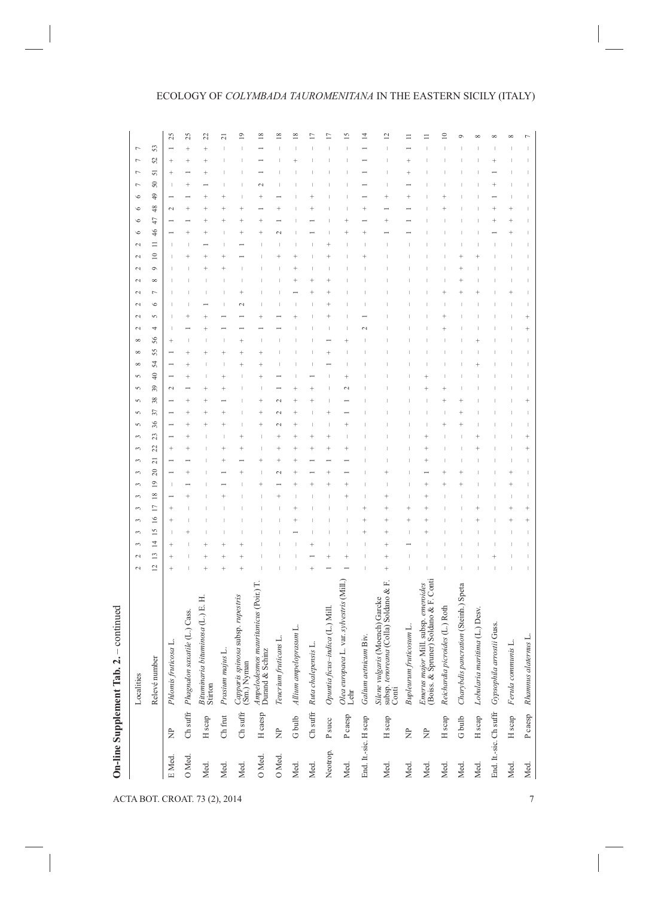## ECOLOGY OF *COLYMBADA TAUROMENITANA* IN THE EASTERN SICILY (ITALY)

|          |                        | Localities                                                                        | 2<br>2         | 3                                 | 3               | 3         | 3              | 3             | 3<br>$\epsilon$       | 3              | 3         | 3  | S<br>S   | 5  | 5      | S            | $\infty$ | ${}^{\circ}$ | $\sim$<br>${}^{\circ}$ | $\mathbf{C}$ | $\mathbf{C}$ | 2 | $\sim$ | $\sim$  | $\sim$    | $\mathbf{C}$ | $\circ$ | $\circ$ | $\circ$<br>$\circ$ | r                        | r         | r         | Γ                       |
|----------|------------------------|-----------------------------------------------------------------------------------|----------------|-----------------------------------|-----------------|-----------|----------------|---------------|-----------------------|----------------|-----------|----|----------|----|--------|--------------|----------|--------------|------------------------|--------------|--------------|---|--------|---------|-----------|--------------|---------|---------|--------------------|--------------------------|-----------|-----------|-------------------------|
|          |                        | Relevé number                                                                     | $\overline{2}$ | $\overline{4}$<br>$\overline{13}$ | $\overline{15}$ | $\geq$    | $\overline{1}$ | $\frac{8}{2}$ | 20<br>$\overline{19}$ | $\overline{z}$ | 22        | 23 | 37<br>36 | 38 | 39     | $rac{40}{1}$ | 54       | 55           | 4<br>56                | 5            | $\circ$      |   |        | $\circ$ | $\approx$ |              | 46      | 47      | 49<br>48           | 50                       | 51        | 25        | 53                      |
| E Med.   | È                      | Phlomis fruticosa L.                                                              |                | $\ddot{\phantom{0}}$              |                 | $\ddot{}$ | $\ddot{}$      |               | т                     |                | $\ddot{}$ |    |          |    | $\sim$ |              |          |              | $\ddot{}$              |              |              |   |        |         |           |              |         |         | $\sim$             | $\overline{\phantom{a}}$ | $\ddot{}$ | $\ddot{}$ | 25                      |
| O Med.   |                        | Ch suffr Phagnalon saxatile (L.) Cass.                                            |                |                                   |                 |           |                |               |                       |                |           |    |          |    |        |              |          |              |                        |              |              |   |        |         |           |              |         |         |                    |                          |           |           | 25                      |
| Med.     | H scap                 | Bituminaria bituminosa (L.) E. H.<br>Stirton                                      |                |                                   |                 |           |                |               |                       |                |           |    |          |    |        |              |          |              |                        |              |              |   |        |         |           |              |         |         |                    |                          |           |           | 22                      |
| Med.     | Ch frut                | Prasium majus L.                                                                  |                |                                   |                 |           |                |               |                       |                |           |    |          |    |        |              |          |              |                        |              |              |   |        |         |           |              |         |         |                    |                          |           |           | ಸ                       |
| Med.     | $Ch$ suffr             | Capparis spinosa subsp. rupestris<br>(Sm.) Nyman                                  |                |                                   |                 |           |                |               |                       |                |           |    |          |    |        |              |          |              |                        |              |              |   |        |         |           |              |         |         |                    |                          |           |           | $\overline{0}$          |
| O Med.   | H caesp                | mauritanicus (Poir.) T.<br>Durand & Schinz<br>Ampelodesmos                        |                |                                   |                 |           |                |               |                       |                |           |    |          |    |        |              |          |              |                        |              |              |   |        |         |           |              |         |         |                    |                          |           |           | $\frac{8}{2}$           |
| O Med.   | È                      | Teucrium fruticans L.                                                             |                |                                   |                 |           |                |               |                       |                |           |    |          |    |        |              |          |              |                        |              |              |   |        |         |           |              |         |         |                    |                          |           |           | $\overline{\mathbf{8}}$ |
| Med.     | G bulb                 | Allium ampeloprasum L.                                                            |                |                                   |                 |           |                |               |                       |                |           |    |          |    |        |              |          |              |                        |              |              |   |        |         |           |              |         |         |                    |                          |           |           | $\frac{8}{2}$           |
| Med.     |                        | Ch suffr Ruta chalepensis L.                                                      |                |                                   |                 |           |                |               |                       |                |           |    |          |    |        |              |          |              |                        |              |              |   |        |         |           |              |         |         |                    |                          |           |           |                         |
| Neotrop. | ${\tt P}$ succ         | Opuntia ficus-indica (L.) Mill.                                                   |                |                                   |                 |           |                |               |                       |                |           |    |          |    |        |              |          |              |                        |              |              |   |        |         |           |              |         |         |                    |                          |           |           |                         |
| Med.     | P caesp                | L. var. sylvestris (Mill.)<br>Olea europaea<br>Lehr                               |                |                                   |                 |           |                |               |                       |                |           |    |          |    |        |              |          |              |                        |              |              |   |        |         |           |              |         |         |                    |                          |           |           | S                       |
|          | End. It.-sic. H scap   | Galium aetnicum Biv.                                                              |                |                                   |                 |           |                |               |                       |                |           |    |          |    |        |              |          |              |                        |              |              |   |        |         |           |              |         |         |                    |                          |           |           | 14                      |
| Med.     | H scap                 | Silene vulgaris (Moench) Garcke<br>subsp. tenoreana (Colla) Soldano & F.<br>Conti |                |                                   |                 |           |                |               |                       |                |           |    |          |    |        |              |          |              |                        |              |              |   |        |         |           |              |         |         |                    |                          |           |           | $\overline{c}$          |
| Med.     | $\overline{z}$         | Bupleurum fruticosum L.                                                           |                |                                   |                 |           |                |               |                       |                |           |    |          |    |        |              |          |              |                        |              |              |   |        |         |           |              |         |         |                    |                          |           |           |                         |
| Med.     | È                      | Emerus major Mill. subsp. emeroides<br>(Boiss. & Spruner) Soldano & F. Conti      |                |                                   |                 |           |                |               |                       |                |           |    |          |    |        |              |          |              |                        |              |              |   |        |         |           |              |         |         |                    |                          |           |           |                         |
| Med.     | H scap                 | Reichardia picroides (L.) Roth                                                    |                |                                   |                 |           |                |               |                       |                |           |    |          |    |        |              |          |              |                        |              |              |   |        |         |           |              |         |         |                    |                          |           |           |                         |
| Med.     | G bulb                 | Charybdis pancration (Steinh.) Speta                                              |                |                                   |                 |           |                |               |                       |                |           |    |          |    |        |              |          |              |                        |              |              |   |        |         |           |              |         |         |                    |                          |           |           |                         |
| Med.     | H scap                 | Lobularia maritima (L.) Desv.                                                     |                |                                   |                 |           |                |               |                       |                |           |    |          |    |        |              |          |              |                        |              |              |   |        |         |           |              |         |         |                    |                          |           |           |                         |
|          | End. It -sic. Ch suffr | Gypsophila arrostii Guss.                                                         |                |                                   |                 |           |                |               |                       |                |           |    |          |    |        |              |          |              |                        |              |              |   |        |         |           |              |         |         |                    |                          |           |           |                         |
| Med.     | H scap                 | Ferula communis L.                                                                |                |                                   |                 |           |                |               |                       |                |           |    |          |    |        |              |          |              |                        |              |              |   |        |         |           |              |         |         |                    |                          |           |           |                         |
| Med.     | Pcaesp                 | Rhamnus alaternus L.                                                              |                |                                   |                 |           |                |               |                       |                |           |    |          |    |        |              |          |              |                        |              |              |   |        |         |           |              |         |         |                    |                          |           |           |                         |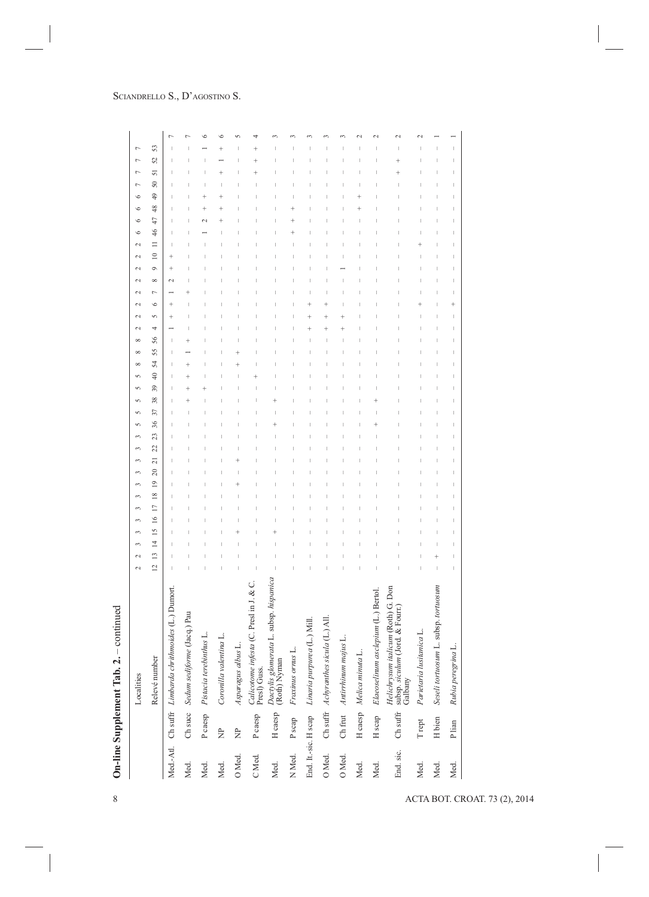| 50<br>I.<br>$\overline{ }$<br>47<br>46<br>I<br>$\equiv$<br>$\overline{\phantom{a}}$<br>$\subseteq$<br>$^{+}$<br>$^{+}$<br>Ò<br>${}^{\circ}$<br>$\sim$<br>Γ<br>৩<br>$\ddot{}$<br>$^{+}$<br>5<br>4<br>т<br>55<br>т<br>54<br>$\frac{40}{5}$<br>I<br>39<br>I<br>38<br>37<br>т<br>I<br>т<br>20<br>т<br>$\overline{19}$<br>$\frac{8}{2}$<br>$\Box$<br>$\overline{13}$<br>$\overline{2}$<br>Dactylis glomerata L. subsp. hispanica<br>(Roth) Nyman<br>Calicotome infesta (C. Presl in J. & C.<br>Presl) Guss.<br>Seseli tortuosum L. subsp. tortuosum<br>Helichrysum italicum (Roth) G. Don<br>subsp. siculum (Jord. & Fourr.)<br>Galbany<br>Ch suffr Limbarda chrithmoides (L.) Dumort.<br>Elaeoselinum asclepium (L.) Bertol.<br>Ch succ Sedum sediforme (Jacq.) Pau<br>Ch suffr Achyranthes sicula (L.) All.<br>Linaria purpurea (L.) Mill.<br>Parietaria lusitanica L.<br>Pistacia terebinthus L.<br>Coronilla valentina L.<br>Antirrhinum majus L.<br>Asparagus albus L.<br>Rubia peregrina L.<br>Fraxinus ornus L.<br>Melica minuta I<br>P caesp<br>H caesp<br>$\rm Ch\;suffr$<br>H caesp<br>Ch frut<br>P caesp<br>End. It.-sic. H scap<br>H scap<br>H bien<br>P scap<br>$\mathcal T$ rept<br>P lian<br>È<br>$\approx$<br>Med.-Atl.<br>End. sic.<br>N <sub>Med</sub><br>O Med.<br>O Med.<br>O Med.<br>C Med.<br>Med.<br>Med.<br>Med.<br>Med.<br>Med.<br>Med.<br>Med.<br>Med.<br>Med. | 51<br>ACTA BOT. CROAT. 73 (2), 2014 |  | 2<br>Localities | 2 | $\mathfrak{g}$ | $\mathfrak{g}$  | 3      | 3 | $\mathfrak{g}$<br>3 | $\mathfrak{g}$ | 3              | 3  | 3  | S  | $\sqrt{2}$ | S | S<br>5 | ${}^{\circ}$ | $\infty$ | ${}^{\circ}$ | 2 | 2 | 2 | $\mathbf{\sim}$<br>2 | $\mathbf{\sim}$ | $\sim$ | 2 | $\circ$ | $\circ$ | $\circ$ | $\circ$ | Γ | Γ | $\overline{ }$<br>Γ |
|-------------------------------------------------------------------------------------------------------------------------------------------------------------------------------------------------------------------------------------------------------------------------------------------------------------------------------------------------------------------------------------------------------------------------------------------------------------------------------------------------------------------------------------------------------------------------------------------------------------------------------------------------------------------------------------------------------------------------------------------------------------------------------------------------------------------------------------------------------------------------------------------------------------------------------------------------------------------------------------------------------------------------------------------------------------------------------------------------------------------------------------------------------------------------------------------------------------------------------------------------------------------------------------------------------------------------------------------------------------------------------------|-------------------------------------|--|-----------------|---|----------------|-----------------|--------|---|---------------------|----------------|----------------|----|----|----|------------|---|--------|--------------|----------|--------------|---|---|---|----------------------|-----------------|--------|---|---------|---------|---------|---------|---|---|---------------------|
|                                                                                                                                                                                                                                                                                                                                                                                                                                                                                                                                                                                                                                                                                                                                                                                                                                                                                                                                                                                                                                                                                                                                                                                                                                                                                                                                                                                     |                                     |  | Relevé number   |   | $\overline{4}$ | $\overline{15}$ | $\geq$ |   |                     |                | $\overline{c}$ | 22 | 23 | 36 |            |   |        |              |          | 56           |   |   |   |                      |                 |        |   |         |         | 48      | 49      |   |   | 53<br>52            |
|                                                                                                                                                                                                                                                                                                                                                                                                                                                                                                                                                                                                                                                                                                                                                                                                                                                                                                                                                                                                                                                                                                                                                                                                                                                                                                                                                                                     |                                     |  |                 |   |                |                 |        |   |                     |                |                |    |    |    |            |   |        |              |          |              |   |   |   |                      |                 |        |   |         |         |         |         |   |   |                     |
|                                                                                                                                                                                                                                                                                                                                                                                                                                                                                                                                                                                                                                                                                                                                                                                                                                                                                                                                                                                                                                                                                                                                                                                                                                                                                                                                                                                     |                                     |  |                 |   |                |                 |        |   |                     |                |                |    |    |    |            |   |        |              |          |              |   |   |   |                      |                 |        |   |         |         |         |         |   |   |                     |
|                                                                                                                                                                                                                                                                                                                                                                                                                                                                                                                                                                                                                                                                                                                                                                                                                                                                                                                                                                                                                                                                                                                                                                                                                                                                                                                                                                                     |                                     |  |                 |   |                |                 |        |   |                     |                |                |    |    |    |            |   |        |              |          |              |   |   |   |                      |                 |        |   |         |         |         |         |   |   |                     |
|                                                                                                                                                                                                                                                                                                                                                                                                                                                                                                                                                                                                                                                                                                                                                                                                                                                                                                                                                                                                                                                                                                                                                                                                                                                                                                                                                                                     |                                     |  |                 |   |                |                 |        |   |                     |                |                |    |    |    |            |   |        |              |          |              |   |   |   |                      |                 |        |   |         |         |         |         |   |   |                     |
|                                                                                                                                                                                                                                                                                                                                                                                                                                                                                                                                                                                                                                                                                                                                                                                                                                                                                                                                                                                                                                                                                                                                                                                                                                                                                                                                                                                     |                                     |  |                 |   |                |                 |        |   |                     |                |                |    |    |    |            |   |        |              |          |              |   |   |   |                      |                 |        |   |         |         |         |         |   |   |                     |
|                                                                                                                                                                                                                                                                                                                                                                                                                                                                                                                                                                                                                                                                                                                                                                                                                                                                                                                                                                                                                                                                                                                                                                                                                                                                                                                                                                                     |                                     |  |                 |   |                |                 |        |   |                     |                |                |    |    |    |            |   |        |              |          |              |   |   |   |                      |                 |        |   |         |         |         |         |   |   |                     |
|                                                                                                                                                                                                                                                                                                                                                                                                                                                                                                                                                                                                                                                                                                                                                                                                                                                                                                                                                                                                                                                                                                                                                                                                                                                                                                                                                                                     |                                     |  |                 |   |                |                 |        |   |                     |                |                |    |    |    |            |   |        |              |          |              |   |   |   |                      |                 |        |   |         |         |         |         |   |   |                     |
|                                                                                                                                                                                                                                                                                                                                                                                                                                                                                                                                                                                                                                                                                                                                                                                                                                                                                                                                                                                                                                                                                                                                                                                                                                                                                                                                                                                     |                                     |  |                 |   |                |                 |        |   |                     |                |                |    |    |    |            |   |        |              |          |              |   |   |   |                      |                 |        |   |         |         |         |         |   |   |                     |
|                                                                                                                                                                                                                                                                                                                                                                                                                                                                                                                                                                                                                                                                                                                                                                                                                                                                                                                                                                                                                                                                                                                                                                                                                                                                                                                                                                                     |                                     |  |                 |   |                |                 |        |   |                     |                |                |    |    |    |            |   |        |              |          |              |   |   |   |                      |                 |        |   |         |         |         |         |   |   |                     |
|                                                                                                                                                                                                                                                                                                                                                                                                                                                                                                                                                                                                                                                                                                                                                                                                                                                                                                                                                                                                                                                                                                                                                                                                                                                                                                                                                                                     |                                     |  |                 |   |                |                 |        |   |                     |                |                |    |    |    |            |   |        |              |          |              |   |   |   |                      |                 |        |   |         |         |         |         |   |   |                     |
|                                                                                                                                                                                                                                                                                                                                                                                                                                                                                                                                                                                                                                                                                                                                                                                                                                                                                                                                                                                                                                                                                                                                                                                                                                                                                                                                                                                     |                                     |  |                 |   |                |                 |        |   |                     |                |                |    |    |    |            |   |        |              |          |              |   |   |   |                      |                 |        |   |         |         |         |         |   |   |                     |
|                                                                                                                                                                                                                                                                                                                                                                                                                                                                                                                                                                                                                                                                                                                                                                                                                                                                                                                                                                                                                                                                                                                                                                                                                                                                                                                                                                                     |                                     |  |                 |   |                |                 |        |   |                     |                |                |    |    |    |            |   |        |              |          |              |   |   |   |                      |                 |        |   |         |         |         |         |   |   |                     |
|                                                                                                                                                                                                                                                                                                                                                                                                                                                                                                                                                                                                                                                                                                                                                                                                                                                                                                                                                                                                                                                                                                                                                                                                                                                                                                                                                                                     |                                     |  |                 |   |                |                 |        |   |                     |                |                |    |    |    |            |   |        |              |          |              |   |   |   |                      |                 |        |   |         |         |         |         |   |   |                     |
|                                                                                                                                                                                                                                                                                                                                                                                                                                                                                                                                                                                                                                                                                                                                                                                                                                                                                                                                                                                                                                                                                                                                                                                                                                                                                                                                                                                     |                                     |  |                 |   |                |                 |        |   |                     |                |                |    |    |    |            |   |        |              |          |              |   |   |   |                      |                 |        |   |         |         |         |         |   |   |                     |
|                                                                                                                                                                                                                                                                                                                                                                                                                                                                                                                                                                                                                                                                                                                                                                                                                                                                                                                                                                                                                                                                                                                                                                                                                                                                                                                                                                                     |                                     |  |                 |   |                |                 |        |   |                     |                |                |    |    |    |            |   |        |              |          |              |   |   |   |                      |                 |        |   |         |         |         |         |   |   |                     |
|                                                                                                                                                                                                                                                                                                                                                                                                                                                                                                                                                                                                                                                                                                                                                                                                                                                                                                                                                                                                                                                                                                                                                                                                                                                                                                                                                                                     |                                     |  |                 |   |                |                 |        |   |                     |                |                |    |    |    |            |   |        |              |          |              |   |   |   |                      |                 |        |   |         |         |         |         |   |   |                     |
|                                                                                                                                                                                                                                                                                                                                                                                                                                                                                                                                                                                                                                                                                                                                                                                                                                                                                                                                                                                                                                                                                                                                                                                                                                                                                                                                                                                     |                                     |  |                 |   |                |                 |        |   |                     |                |                |    |    |    |            |   |        |              |          |              |   |   |   |                      |                 |        |   |         |         |         |         |   |   |                     |

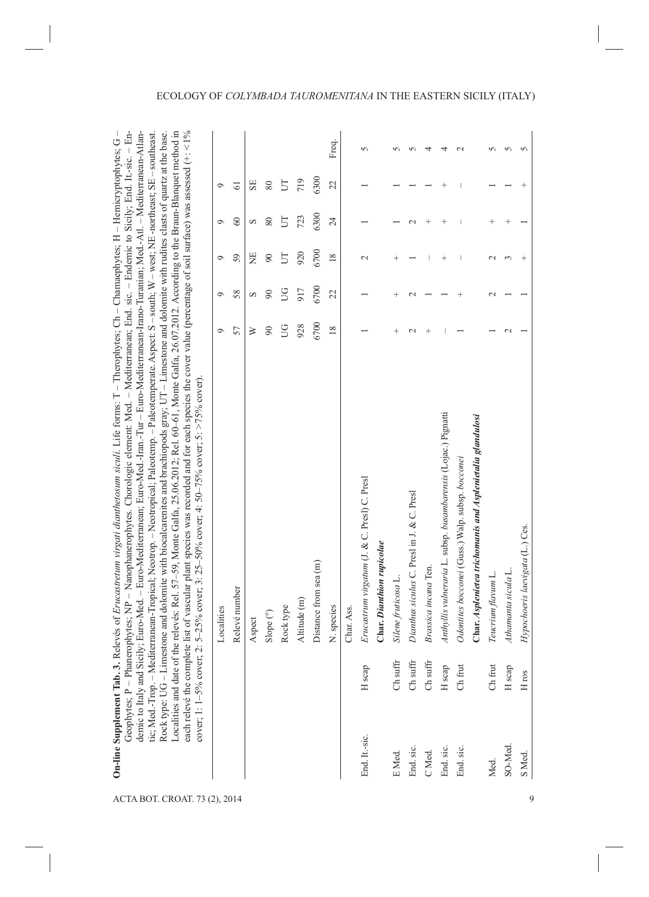| ACTA BOT. CROAT. 73 (2), 2014 |               | cover; 1: 1-5% cover; | Geophytes; P - Phanerophytes; NP - Nanophanerophytes. Chorologic element: Med. - Mediterranean; End. sic. - Endemic to Sicily; End. It.-sic. - En-<br>demic to Italy and Sicily, Euro-Med. - Euro-Mediterranean; Euro-Med.-Iran.-Tur - Euro-Mediterranean-Irano-Turanian; Med.-Atl. - Mediterranean-Atlan-<br>ach relevé the complete list of vascular plant species was recorded and for each species the cover value (percentage of soil surface) was assessed $(+, 1\%$<br>On-line Supplement Tab. 3. Relevés of Erucastretum virgati dianthetosum siculi. Life forms: T - Therophytes; Ch - Chamaephytes; H - Hernicryptophytes; G -<br>Localities and date of the releves: Rel. $57-59$ , Monte Galfa, 25.06.2012; Rel. 60-61, Monte Galfa, 26.07.2012. According to the Braun-Blanquet method in<br>tic; Med.-Trop. – Mediterranean-Tropical; Neotropical; Paleotemp. – Paleotemperate. Aspect: S – south; W – west; NE-northeast; SE – southeast<br>Rock type: UG-Limestone and dolomite with biocalcarenites and brachiopods gray; UT-Limestone and dolomite with rudites clasts of quartz at the base.<br>2: 5–25% cover; 3: 25–50% cover; 4: 50–75% cover; 5: >75% cover) |          |      |             |           |                |       |
|-------------------------------|---------------|-----------------------|-------------------------------------------------------------------------------------------------------------------------------------------------------------------------------------------------------------------------------------------------------------------------------------------------------------------------------------------------------------------------------------------------------------------------------------------------------------------------------------------------------------------------------------------------------------------------------------------------------------------------------------------------------------------------------------------------------------------------------------------------------------------------------------------------------------------------------------------------------------------------------------------------------------------------------------------------------------------------------------------------------------------------------------------------------------------------------------------------------------------------------------------------------------------------------------|----------|------|-------------|-----------|----------------|-------|
|                               |               |                       | Localities                                                                                                                                                                                                                                                                                                                                                                                                                                                                                                                                                                                                                                                                                                                                                                                                                                                                                                                                                                                                                                                                                                                                                                          | $\circ$  | ◦    | Q           | $\circ$   | Q              |       |
|                               |               |                       | Relevé number                                                                                                                                                                                                                                                                                                                                                                                                                                                                                                                                                                                                                                                                                                                                                                                                                                                                                                                                                                                                                                                                                                                                                                       | 57       | 58   | 59          | $\degree$ | $\overline{6}$ |       |
|                               |               |                       | Aspect                                                                                                                                                                                                                                                                                                                                                                                                                                                                                                                                                                                                                                                                                                                                                                                                                                                                                                                                                                                                                                                                                                                                                                              | ⋧        | S    | 岂           | S         | SE             |       |
|                               |               |                       | Slope (°)                                                                                                                                                                                                                                                                                                                                                                                                                                                                                                                                                                                                                                                                                                                                                                                                                                                                                                                                                                                                                                                                                                                                                                           | $\infty$ | Ձ    | $\infty$    | $80\,$    | $80\,$         |       |
|                               |               |                       | Rock type                                                                                                                                                                                                                                                                                                                                                                                                                                                                                                                                                                                                                                                                                                                                                                                                                                                                                                                                                                                                                                                                                                                                                                           | S        | S    | 5           | 5         | 5              |       |
|                               |               |                       | Altitude (m)                                                                                                                                                                                                                                                                                                                                                                                                                                                                                                                                                                                                                                                                                                                                                                                                                                                                                                                                                                                                                                                                                                                                                                        | 928      | 917  | 920         | 723       | 719            |       |
|                               |               |                       | Distance from sea (m)                                                                                                                                                                                                                                                                                                                                                                                                                                                                                                                                                                                                                                                                                                                                                                                                                                                                                                                                                                                                                                                                                                                                                               | 6700     | 6700 | 6700        | 6300      | 6300           |       |
|                               |               |                       | N. species                                                                                                                                                                                                                                                                                                                                                                                                                                                                                                                                                                                                                                                                                                                                                                                                                                                                                                                                                                                                                                                                                                                                                                          | 18       | 22   | 18          | 24        | 22             | Freq. |
|                               |               |                       | Char. Ass.                                                                                                                                                                                                                                                                                                                                                                                                                                                                                                                                                                                                                                                                                                                                                                                                                                                                                                                                                                                                                                                                                                                                                                          |          |      |             |           |                |       |
|                               | End. It.-sic. | H scap                | Erucastrum virgatum (J. & C. Presl) C. Presl                                                                                                                                                                                                                                                                                                                                                                                                                                                                                                                                                                                                                                                                                                                                                                                                                                                                                                                                                                                                                                                                                                                                        |          |      | $\mathbf 2$ |           |                | 5     |
|                               |               |                       | Char. Dianthion rupicolae                                                                                                                                                                                                                                                                                                                                                                                                                                                                                                                                                                                                                                                                                                                                                                                                                                                                                                                                                                                                                                                                                                                                                           |          |      |             |           |                |       |
|                               | E Med.        | Ch suffr              | Silene fruticosa L                                                                                                                                                                                                                                                                                                                                                                                                                                                                                                                                                                                                                                                                                                                                                                                                                                                                                                                                                                                                                                                                                                                                                                  |          |      |             |           |                |       |
|                               | End. sic.     | Ch suffr              | Dianthus siculus C. Presl in J. & C. Presl                                                                                                                                                                                                                                                                                                                                                                                                                                                                                                                                                                                                                                                                                                                                                                                                                                                                                                                                                                                                                                                                                                                                          |          |      |             |           |                |       |
|                               | C Med.        | $Ch$ suffr            | Brassica incana Ten                                                                                                                                                                                                                                                                                                                                                                                                                                                                                                                                                                                                                                                                                                                                                                                                                                                                                                                                                                                                                                                                                                                                                                 |          |      |             |           |                |       |
|                               | End. sic.     | H scap                | Anthyllis vulneraria L. subsp. busambarensis (Lojac.) Pignatti                                                                                                                                                                                                                                                                                                                                                                                                                                                                                                                                                                                                                                                                                                                                                                                                                                                                                                                                                                                                                                                                                                                      |          |      | $^+$        |           |                |       |
|                               | End. sic.     | Ch frut               | Odontites bocconei (Guss.) Walp. subsp. bocconei                                                                                                                                                                                                                                                                                                                                                                                                                                                                                                                                                                                                                                                                                                                                                                                                                                                                                                                                                                                                                                                                                                                                    |          |      |             |           |                |       |
|                               |               |                       | Char. Asplenietea trichomanis and Asplenietalia glandulosi                                                                                                                                                                                                                                                                                                                                                                                                                                                                                                                                                                                                                                                                                                                                                                                                                                                                                                                                                                                                                                                                                                                          |          |      |             |           |                |       |
|                               | Med.          | Ch frut               | Teucrium flavum L                                                                                                                                                                                                                                                                                                                                                                                                                                                                                                                                                                                                                                                                                                                                                                                                                                                                                                                                                                                                                                                                                                                                                                   |          |      |             |           |                |       |
|                               | SO-Med        | H scap                | Athamanta sicula L.                                                                                                                                                                                                                                                                                                                                                                                                                                                                                                                                                                                                                                                                                                                                                                                                                                                                                                                                                                                                                                                                                                                                                                 |          |      |             |           |                |       |
| 9                             | S Med.        | H <sub>ros</sub>      | Hypochoeris laevigata (L.) Ces.                                                                                                                                                                                                                                                                                                                                                                                                                                                                                                                                                                                                                                                                                                                                                                                                                                                                                                                                                                                                                                                                                                                                                     |          |      |             |           |                |       |
|                               |               |                       |                                                                                                                                                                                                                                                                                                                                                                                                                                                                                                                                                                                                                                                                                                                                                                                                                                                                                                                                                                                                                                                                                                                                                                                     |          |      |             |           |                |       |